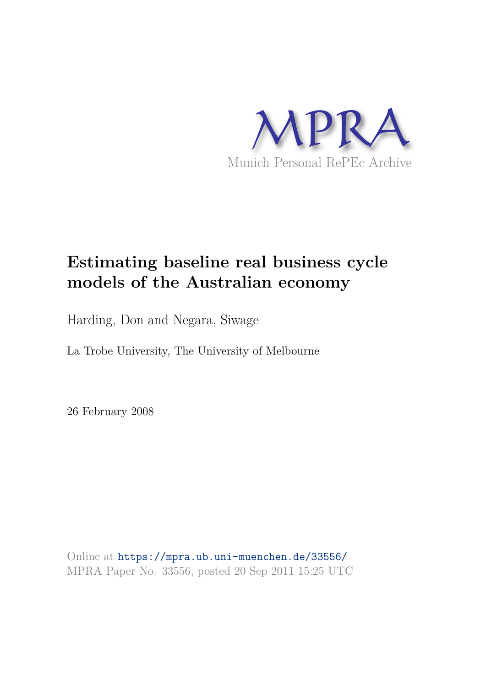

# **Estimating baseline real business cycle models of the Australian economy**

Harding, Don and Negara, Siwage

La Trobe University, The University of Melbourne

26 February 2008

Online at https://mpra.ub.uni-muenchen.de/33556/ MPRA Paper No. 33556, posted 20 Sep 2011 15:25 UTC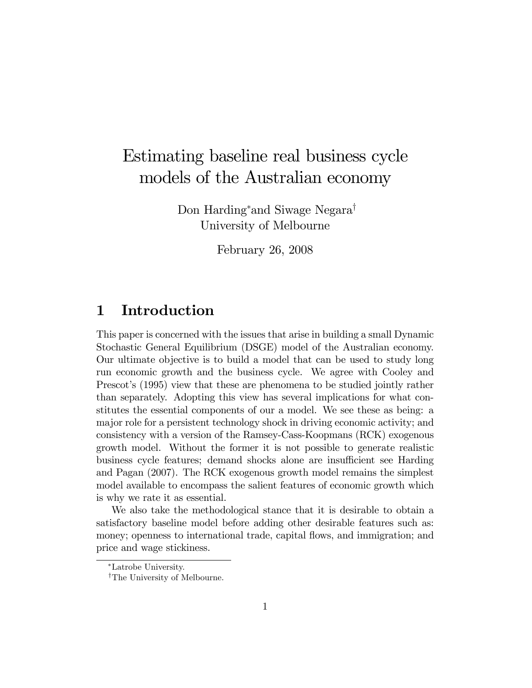## Estimating baseline real business cycle models of the Australian economy

Don Harding<sup>\*</sup> and Siwage Negara<sup>†</sup> University of Melbourne

February 26, 2008

### 1 Introduction

This paper is concerned with the issues that arise in building a small Dynamic Stochastic General Equilibrium (DSGE) model of the Australian economy. Our ultimate objective is to build a model that can be used to study long run economic growth and the business cycle. We agree with Cooley and Prescot's (1995) view that these are phenomena to be studied jointly rather than separately. Adopting this view has several implications for what constitutes the essential components of our a model. We see these as being: a major role for a persistent technology shock in driving economic activity; and consistency with a version of the Ramsey-Cass-Koopmans (RCK) exogenous growth model. Without the former it is not possible to generate realistic business cycle features; demand shocks alone are insufficient see Harding and Pagan (2007). The RCK exogenous growth model remains the simplest model available to encompass the salient features of economic growth which is why we rate it as essential.

We also take the methodological stance that it is desirable to obtain a satisfactory baseline model before adding other desirable features such as: money; openness to international trade, capital flows, and immigration; and price and wage stickiness.

Latrobe University.

<sup>&</sup>lt;sup>†</sup>The University of Melbourne.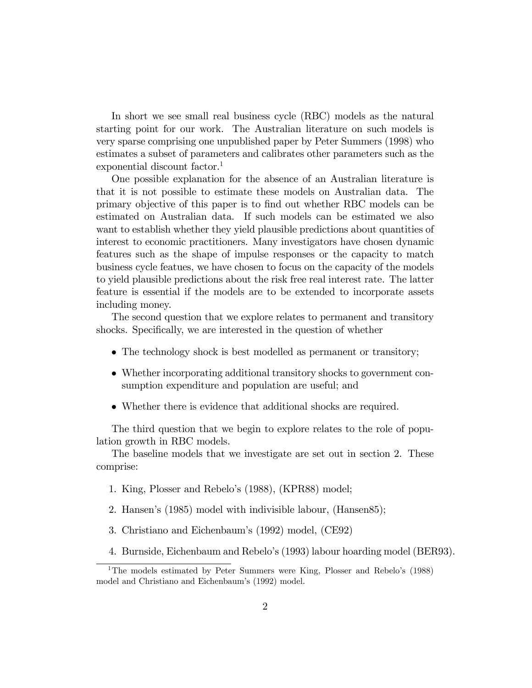In short we see small real business cycle (RBC) models as the natural starting point for our work. The Australian literature on such models is very sparse comprising one unpublished paper by Peter Summers (1998) who estimates a subset of parameters and calibrates other parameters such as the exponential discount factor.<sup>1</sup>

One possible explanation for the absence of an Australian literature is that it is not possible to estimate these models on Australian data. The primary objective of this paper is to Önd out whether RBC models can be estimated on Australian data. If such models can be estimated we also want to establish whether they yield plausible predictions about quantities of interest to economic practitioners. Many investigators have chosen dynamic features such as the shape of impulse responses or the capacity to match business cycle featues, we have chosen to focus on the capacity of the models to yield plausible predictions about the risk free real interest rate. The latter feature is essential if the models are to be extended to incorporate assets including money.

The second question that we explore relates to permanent and transitory shocks. Specifically, we are interested in the question of whether

- The technology shock is best modelled as permanent or transitory;
- Whether incorporating additional transitory shocks to government consumption expenditure and population are useful; and
- Whether there is evidence that additional shocks are required.

The third question that we begin to explore relates to the role of population growth in RBC models.

The baseline models that we investigate are set out in section 2. These comprise:

- 1. King, Plosser and Rebelo's (1988), (KPR88) model;
- 2. Hansen's (1985) model with indivisible labour, (Hansen85);
- 3. Christiano and Eichenbaum's (1992) model, (CE92)
- 4. Burnside, Eichenbaum and Rebeloís (1993) labour hoarding model (BER93).

<sup>&</sup>lt;sup>1</sup>The models estimated by Peter Summers were King, Plosser and Rebelo's  $(1988)$ model and Christiano and Eichenbaum's (1992) model.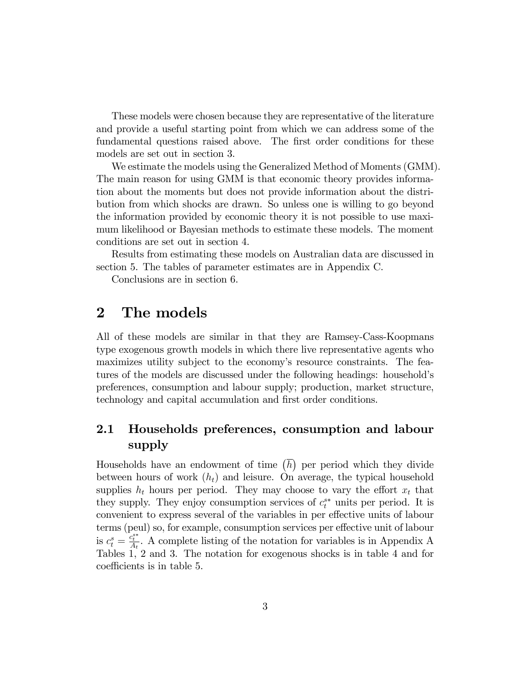These models were chosen because they are representative of the literature and provide a useful starting point from which we can address some of the fundamental questions raised above. The first order conditions for these models are set out in section 3.

We estimate the models using the Generalized Method of Moments (GMM). The main reason for using GMM is that economic theory provides information about the moments but does not provide information about the distribution from which shocks are drawn. So unless one is willing to go beyond the information provided by economic theory it is not possible to use maximum likelihood or Bayesian methods to estimate these models. The moment conditions are set out in section 4.

Results from estimating these models on Australian data are discussed in section 5. The tables of parameter estimates are in Appendix C.

Conclusions are in section 6.

### 2 The models

All of these models are similar in that they are Ramsey-Cass-Koopmans type exogenous growth models in which there live representative agents who maximizes utility subject to the economy's resource constraints. The features of the models are discussed under the following headings: householdís preferences, consumption and labour supply; production, market structure, technology and capital accumulation and first order conditions.

### 2.1 Households preferences, consumption and labour supply

Households have an endowment of time  $\left(\overline{h}\right)$  per period which they divide between hours of work  $(h_t)$  and leisure. On average, the typical household supplies  $h_t$  hours per period. They may choose to vary the effort  $x_t$  that they supply. They enjoy consumption services of  $c_t^{s*}$  units per period. It is convenient to express several of the variables in per effective units of labour terms (peul) so, for example, consumption services per effective unit of labour is  $c_t^s = \frac{c_t^{s*}}{A_t}$ . A complete listing of the notation for variables is in Appendix A Tables 1, 2 and 3. The notation for exogenous shocks is in table 4 and for coefficients is in table 5.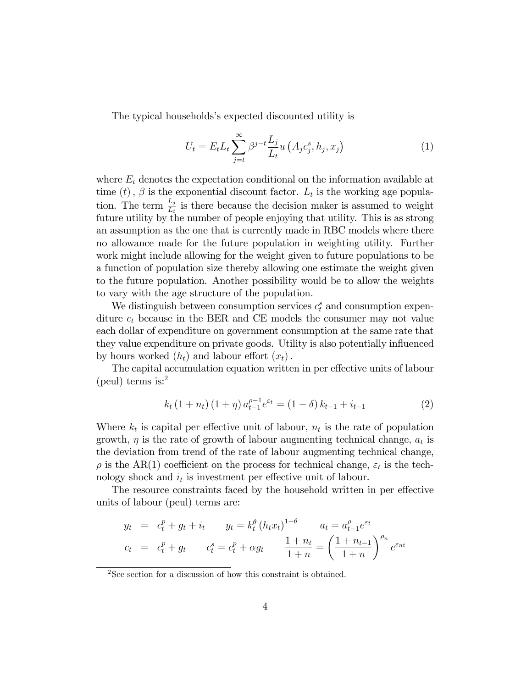The typical households's expected discounted utility is

$$
U_t = E_t L_t \sum_{j=t}^{\infty} \beta^{j-t} \frac{L_j}{L_t} u\left(A_j c_j^s, h_j, x_j\right)
$$
 (1)

where  $E_t$  denotes the expectation conditional on the information available at time  $(t)$ ,  $\beta$  is the exponential discount factor.  $L_t$  is the working age population. The term  $\frac{L_j}{L_t}$  is there because the decision maker is assumed to weight future utility by the number of people enjoying that utility. This is as strong an assumption as the one that is currently made in RBC models where there no allowance made for the future population in weighting utility. Further work might include allowing for the weight given to future populations to be a function of population size thereby allowing one estimate the weight given to the future population. Another possibility would be to allow the weights to vary with the age structure of the population.

We distinguish between consumption services  $c_t^s$  and consumption expenditure  $c_t$  because in the BER and CE models the consumer may not value each dollar of expenditure on government consumption at the same rate that they value expenditure on private goods. Utility is also potentially influenced by hours worked  $(h_t)$  and labour effort  $(x_t)$ .

The capital accumulation equation written in per effective units of labour (peul) terms is: $<sup>2</sup>$ </sup>

$$
k_t (1 + n_t) (1 + \eta) a_{t-1}^{\rho - 1} e^{\varepsilon_t} = (1 - \delta) k_{t-1} + i_{t-1}
$$
 (2)

Where  $k_t$  is capital per effective unit of labour,  $n_t$  is the rate of population growth,  $\eta$  is the rate of growth of labour augmenting technical change,  $a_t$  is the deviation from trend of the rate of labour augmenting technical change,  $\rho$  is the AR(1) coefficient on the process for technical change,  $\varepsilon_t$  is the technology shock and  $i_t$  is investment per effective unit of labour.

The resource constraints faced by the household written in per effective units of labour (peul) terms are:

$$
y_t = c_t^p + g_t + i_t \t y_t = k_t^{\theta} (h_t x_t)^{1-\theta} \t a_t = a_{t-1}^{\rho} e^{\varepsilon_t}
$$
  

$$
c_t = c_t^p + g_t \t c_t^s = c_t^p + \alpha g_t \t \frac{1+n_t}{1+n} = \left(\frac{1+n_{t-1}}{1+n}\right)^{\rho_n} e^{\varepsilon_{nt}}
$$

<sup>2</sup>See section for a discussion of how this constraint is obtained.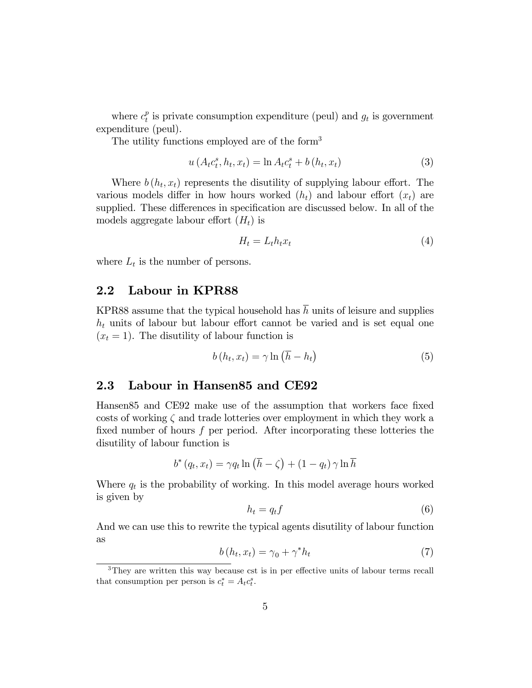where  $c_t^p$  $_t^p$  is private consumption expenditure (peul) and  $g_t$  is government expenditure (peul).

The utility functions employed are of the form<sup>3</sup>

$$
u(A_t c_t^s, h_t, x_t) = \ln A_t c_t^s + b(h_t, x_t)
$$
\n(3)

Where  $b(h_t, x_t)$  represents the disutility of supplying labour effort. The various models differ in how hours worked  $(h_t)$  and labour effort  $(x_t)$  are supplied. These differences in specification are discussed below. In all of the models aggregate labour effort  $(H_t)$  is

$$
H_t = L_t h_t x_t \tag{4}
$$

where  $L_t$  is the number of persons.

#### 2.2 Labour in KPR88

KPR88 assume that the typical household has  $\overline{h}$  units of leisure and supplies  $h_t$  units of labour but labour effort cannot be varied and is set equal one  $(x<sub>t</sub> = 1)$ . The disutility of labour function is

$$
b(h_t, x_t) = \gamma \ln \left(\overline{h} - h_t\right) \tag{5}
$$

#### 2.3 Labour in Hansen85 and CE92

Hansen85 and CE92 make use of the assumption that workers face fixed costs of working  $\zeta$  and trade lotteries over employment in which they work a fixed number of hours  $f$  per period. After incorporating these lotteries the disutility of labour function is

$$
b^*(q_t, x_t) = \gamma q_t \ln\left(\overline{h} - \zeta\right) + (1 - q_t) \gamma \ln \overline{h}
$$

Where  $q_t$  is the probability of working. In this model average hours worked is given by

$$
h_t = q_t f \tag{6}
$$

And we can use this to rewrite the typical agents disutility of labour function as

$$
b(h_t, x_t) = \gamma_0 + \gamma^* h_t \tag{7}
$$

 $3$ They are written this way because cst is in per effective units of labour terms recall that consumption per person is  $c_t^* = A_t c_t^s$ .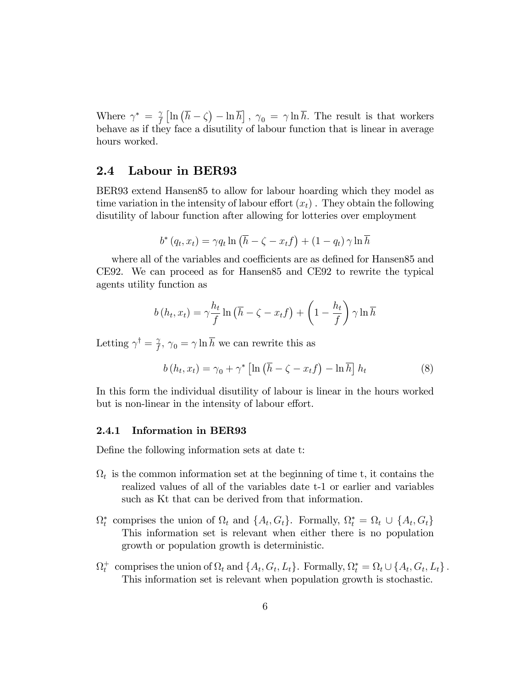Where  $\gamma^* = \frac{\gamma}{f}$  $\frac{\gamma}{f} \left[ \ln \left( \overline{h} - \zeta \right) - \ln \overline{h} \right]$ ,  $\gamma_0 = \gamma \ln \overline{h}$ . The result is that workers behave as if they face a disutility of labour function that is linear in average hours worked.

### 2.4 Labour in BER93

BER93 extend Hansen85 to allow for labour hoarding which they model as time variation in the intensity of labour effort  $(x_t)$ . They obtain the following disutility of labour function after allowing for lotteries over employment

$$
b^* (q_t, x_t) = \gamma q_t \ln \left( \overline{h} - \zeta - x_t f \right) + (1 - q_t) \gamma \ln \overline{h}
$$

where all of the variables and coefficients are as defined for Hansen85 and CE92. We can proceed as for Hansen85 and CE92 to rewrite the typical agents utility function as

$$
b(h_t, x_t) = \gamma \frac{h_t}{f} \ln\left(\overline{h} - \zeta - x_t f\right) + \left(1 - \frac{h_t}{f}\right) \gamma \ln \overline{h}
$$

Letting  $\gamma^{\dagger} = \frac{\gamma}{f}$  $\hat{f}_f^2$ ,  $\gamma_0 = \gamma \ln h$  we can rewrite this as

$$
b(h_t, x_t) = \gamma_0 + \gamma^* \left[ \ln \left( \overline{h} - \zeta - x_t f \right) - \ln \overline{h} \right] h_t \tag{8}
$$

In this form the individual disutility of labour is linear in the hours worked but is non-linear in the intensity of labour effort.

#### 2.4.1 Information in BER93

Define the following information sets at date t:

- $\Omega_t$  is the common information set at the beginning of time t, it contains the realized values of all of the variables date t-1 or earlier and variables such as Kt that can be derived from that information.
- $\Omega_t^*$  comprises the union of  $\Omega_t$  and  $\{A_t, G_t\}$ . Formally,  $\Omega_t^* = \Omega_t \cup \{A_t, G_t\}$ This information set is relevant when either there is no population growth or population growth is deterministic.
- $\Omega_t^+$  comprises the union of  $\Omega_t$  and  $\{A_t, G_t, L_t\}$ . Formally,  $\Omega_t^* = \Omega_t \cup \{A_t, G_t, L_t\}$ . This information set is relevant when population growth is stochastic.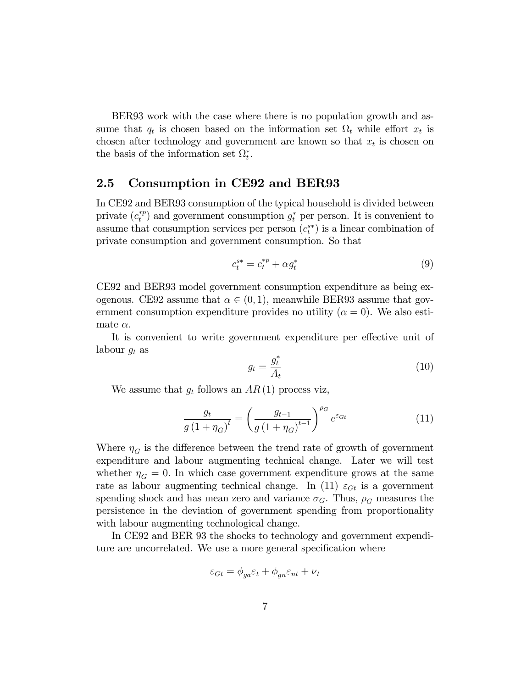BER93 work with the case where there is no population growth and assume that  $q_t$  is chosen based on the information set  $\Omega_t$  while effort  $x_t$  is chosen after technology and government are known so that  $x_t$  is chosen on the basis of the information set  $\Omega_t^*$ .

### 2.5 Consumption in CE92 and BER93

In CE92 and BER93 consumption of the typical household is divided between private  $(c_t^{*p})$  $t_t^{*p}$  and government consumption  $g_t^*$  per person. It is convenient to assume that consumption services per person  $(c_i^{s*})$  is a linear combination of private consumption and government consumption. So that

$$
c_t^{s*} = c_t^{*p} + \alpha g_t^* \tag{9}
$$

CE92 and BER93 model government consumption expenditure as being exogenous. CE92 assume that  $\alpha \in (0, 1)$ , meanwhile BER93 assume that government consumption expenditure provides no utility ( $\alpha = 0$ ). We also estimate  $\alpha$ .

It is convenient to write government expenditure per effective unit of labour  $g_t$  as

$$
g_t = \frac{g_t^*}{A_t} \tag{10}
$$

We assume that  $g_t$  follows an  $AR(1)$  process viz,

$$
\frac{g_t}{g\left(1+\eta_G\right)^t} = \left(\frac{g_{t-1}}{g\left(1+\eta_G\right)^{t-1}}\right)^{\rho_G} e^{\varepsilon_{Gt}} \tag{11}
$$

Where  $\eta_G$  is the difference between the trend rate of growth of government expenditure and labour augmenting technical change. Later we will test whether  $\eta_G = 0$ . In which case government expenditure grows at the same rate as labour augmenting technical change. In (11)  $\varepsilon_{G_t}$  is a government spending shock and has mean zero and variance  $\sigma_G$ . Thus,  $\rho_G$  measures the persistence in the deviation of government spending from proportionality with labour augmenting technological change.

In CE92 and BER 93 the shocks to technology and government expenditure are uncorrelated. We use a more general specification where

$$
\varepsilon_{Gt} = \phi_{ga}\varepsilon_t + \phi_{gn}\varepsilon_{nt} + \nu_t
$$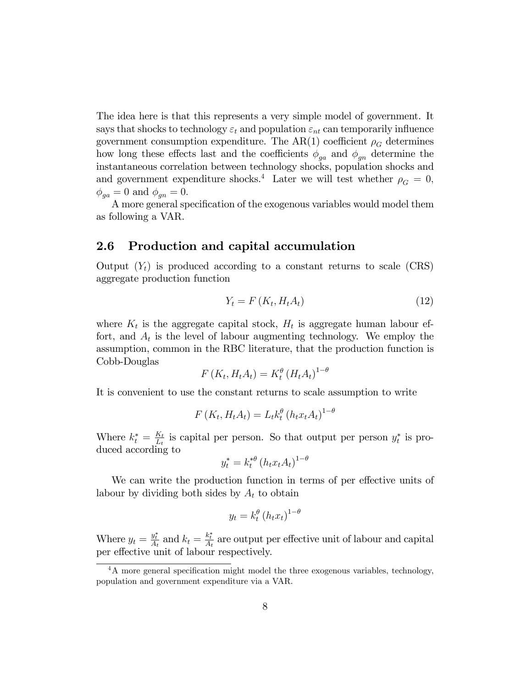The idea here is that this represents a very simple model of government. It says that shocks to technology  $\varepsilon_t$  and population  $\varepsilon_{nt}$  can temporarily influence government consumption expenditure. The AR(1) coefficient  $\rho_G$  determines how long these effects last and the coefficients  $\phi_{ga}$  and  $\phi_{gn}$  determine the instantaneous correlation between technology shocks, population shocks and and government expenditure shocks.<sup>4</sup> Later we will test whether  $\rho_G = 0$ ,  $\phi_{ga} = 0$  and  $\phi_{gn} = 0$ .

A more general specification of the exogenous variables would model them as following a VAR.

### 2.6 Production and capital accumulation

Output  $(Y_t)$  is produced according to a constant returns to scale (CRS) aggregate production function

$$
Y_t = F\left(K_t, H_t A_t\right) \tag{12}
$$

where  $K_t$  is the aggregate capital stock,  $H_t$  is aggregate human labour effort, and  $A_t$  is the level of labour augmenting technology. We employ the assumption, common in the RBC literature, that the production function is Cobb-Douglas  $\theta$ 

$$
F(K_t, H_t A_t) = K_t^{\theta} (H_t A_t)^{1-\theta}
$$

It is convenient to use the constant returns to scale assumption to write

$$
F(K_t, H_t A_t) = L_t k_t^{\theta} (h_t x_t A_t)^{1-\theta}
$$

Where  $k_t^* = \frac{K_t}{L_t}$  $\frac{K_t}{L_t}$  is capital per person. So that output per person  $y_t^*$  is produced according to

$$
y_t^* = k_t^{*\theta} \left( h_t x_t A_t \right)^{1-\theta}
$$

We can write the production function in terms of per effective units of labour by dividing both sides by  $A_t$  to obtain

$$
y_t = k_t^{\theta} (h_t x_t)^{1-\theta}
$$

Where  $y_t = \frac{y_t^*}{A_t}$  and  $k_t = \frac{k_t^*}{A_t}$  are output per effective unit of labour and capital per effective unit of labour respectively.

 $4A$  more general specification might model the three exogenous variables, technology, population and government expenditure via a VAR.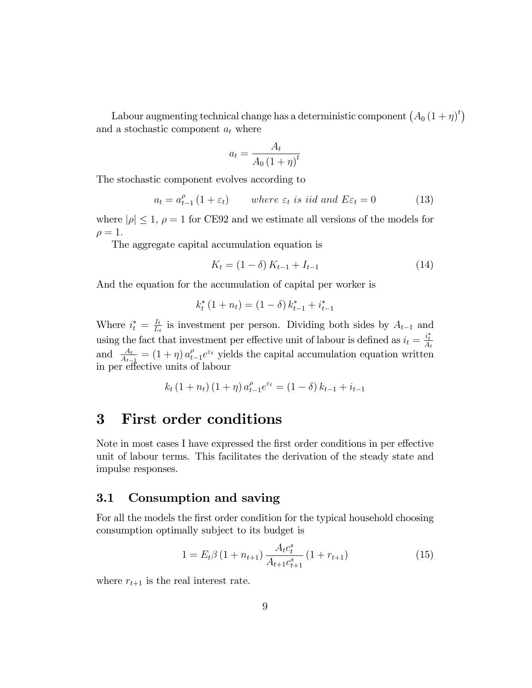Labour augmenting technical change has a deterministic component  $(A_0 (1 + \eta)^t)$ and a stochastic component  $a_t$  where

$$
a_t = \frac{A_t}{A_0 \left(1 + \eta\right)^t}
$$

The stochastic component evolves according to

$$
a_t = a_{t-1}^{\rho} (1 + \varepsilon_t) \qquad \text{where } \varepsilon_t \text{ is iid and } E \varepsilon_t = 0 \tag{13}
$$

where  $|\rho| \leq 1$ ,  $\rho = 1$  for CE92 and we estimate all versions of the models for  $\rho = 1.$ 

The aggregate capital accumulation equation is

$$
K_t = (1 - \delta) K_{t-1} + I_{t-1}
$$
\n(14)

And the equation for the accumulation of capital per worker is

$$
k_t^* (1 + n_t) = (1 - \delta) k_{t-1}^* + i_{t-1}^*
$$

Where  $i_t^* = \frac{I_t}{L_t}$  $\frac{I_t}{I_t}$  is investment per person. Dividing both sides by  $A_{t-1}$  and using the fact that investment per effective unit of labour is defined as  $i_t = \frac{i_t^*}{A_t}$ and  $\frac{A_t}{A_{t-1}} = (1 + \eta) a_t^{\rho}$  $t_{t-1}^{\rho}e^{\varepsilon t}$  yields the capital accumulation equation written in per effective units of labour

$$
k_t (1 + n_t) (1 + \eta) a_{t-1}^{\rho} e^{\varepsilon_t} = (1 - \delta) k_{t-1} + i_{t-1}
$$

### 3 First order conditions

Note in most cases I have expressed the first order conditions in per effective unit of labour terms. This facilitates the derivation of the steady state and impulse responses.

### 3.1 Consumption and saving

For all the models the first order condition for the typical household choosing consumption optimally subject to its budget is

$$
1 = E_t \beta \left( 1 + n_{t+1} \right) \frac{A_t c_t^s}{A_{t+1} c_{t+1}^s} \left( 1 + r_{t+1} \right) \tag{15}
$$

where  $r_{t+1}$  is the real interest rate.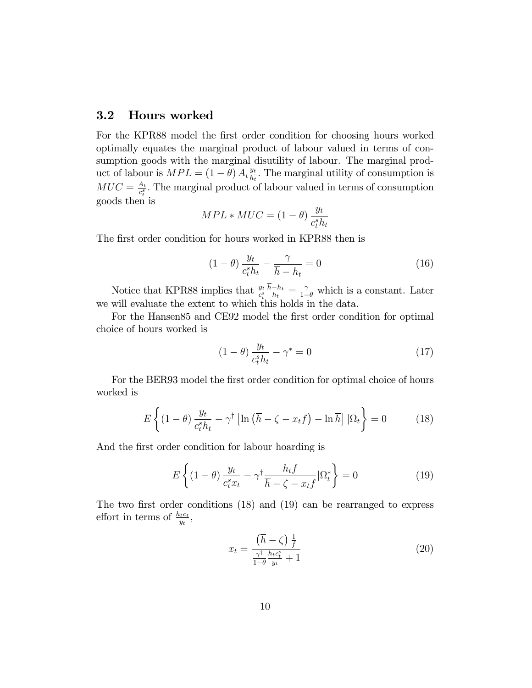### 3.2 Hours worked

For the KPR88 model the first order condition for choosing hours worked optimally equates the marginal product of labour valued in terms of consumption goods with the marginal disutility of labour. The marginal product of labour is  $MPL = (1 - \theta) A_t \frac{y_t}{h_t}$  $\frac{y_t}{h_t}$ . The marginal utility of consumption is  $MUC = \frac{A_t}{c^s}$  $\frac{A_t}{c_t^s}$ . The marginal product of labour valued in terms of consumption goods then is

$$
MPL * MUC = (1 - \theta) \frac{y_t}{c_t^s h_t}
$$

The first order condition for hours worked in KPR88 then is

$$
(1 - \theta) \frac{y_t}{c_t^s h_t} - \frac{\gamma}{\overline{h} - h_t} = 0 \tag{16}
$$

Notice that KPR88 implies that  $\frac{y_t}{c_t^s}$  $h-h_t$  $\frac{-h_t}{h_t} = \frac{\gamma}{1-\theta}$  which is a constant. Later we will evaluate the extent to which this holds in the data.

For the Hansen85 and CE92 model the first order condition for optimal choice of hours worked is

$$
(1 - \theta) \frac{y_t}{c_t^s h_t} - \gamma^* = 0 \tag{17}
$$

For the BER93 model the first order condition for optimal choice of hours worked is

$$
E\left\{ \left(1-\theta\right)\frac{y_t}{c_t^s h_t} - \gamma^\dagger \left[\ln\left(\overline{h} - \zeta - x_t f\right) - \ln\overline{h}\right] |\Omega_t \right\} = 0 \tag{18}
$$

And the first order condition for labour hoarding is

$$
E\left\{ (1-\theta) \frac{y_t}{c_t^s x_t} - \gamma^{\dagger} \frac{h_t f}{\overline{h} - \zeta - x_t f} | \Omega_t^* \right\} = 0
$$
 (19)

The two first order conditions  $(18)$  and  $(19)$  can be rearranged to express effort in terms of  $\frac{h_t c_t}{y_t}$ ,

$$
x_t = \frac{\left(\overline{h} - \zeta\right) \frac{1}{f}}{\frac{\gamma^{\dagger}}{1 - \theta} \frac{h_t c_t^s}{y_t} + 1} \tag{20}
$$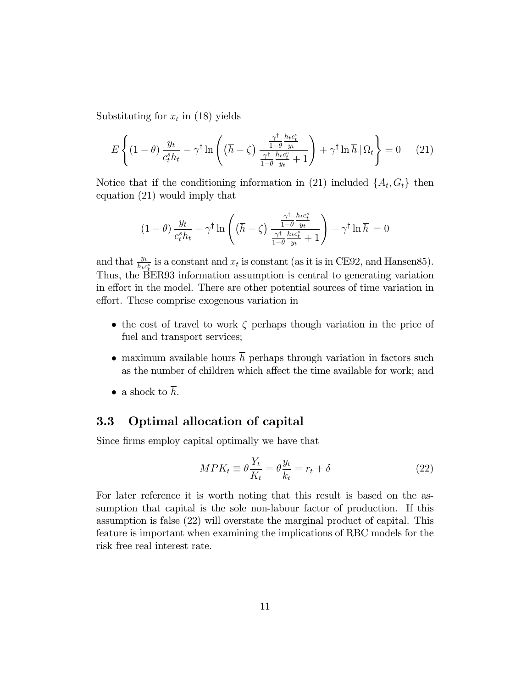Substituting for  $x_t$  in (18) yields

$$
E\left\{ (1-\theta) \frac{y_t}{c_t^s h_t} - \gamma^{\dagger} \ln \left( (\overline{h} - \zeta) \frac{\frac{\gamma^{\dagger}}{1-\theta} \frac{h_t c_t^s}{y_t}}{\frac{\gamma^{\dagger}}{1-\theta} \frac{h_t c_t^s}{y_t} + 1} \right) + \gamma^{\dagger} \ln \overline{h} \, |\, \Omega_t \right\} = 0 \tag{21}
$$

Notice that if the conditioning information in (21) included  $\{A_t, G_t\}$  then equation (21) would imply that

$$
(1 - \theta) \frac{y_t}{c_t^s h_t} - \gamma^{\dagger} \ln \left( \left( \overline{h} - \zeta \right) \frac{\frac{\gamma^{\dagger}}{1 - \theta} \frac{h_t c_t^s}{y_t}}{\frac{\gamma^{\dagger}}{1 - \theta} \frac{h_t c_t^s}{y_t} + 1} \right) + \gamma^{\dagger} \ln \overline{h} = 0
$$

and that  $\frac{y_t}{h_t c_t^s}$  is a constant and  $x_t$  is constant (as it is in CE92, and Hansen85). Thus, the BER93 information assumption is central to generating variation in effort in the model. There are other potential sources of time variation in effort. These comprise exogenous variation in

- the cost of travel to work  $\zeta$  perhaps though variation in the price of fuel and transport services;
- maximum available hours  $\overline{h}$  perhaps through variation in factors such as the number of children which affect the time available for work; and
- a shock to  $\overline{h}$ .

### 3.3 Optimal allocation of capital

Since firms employ capital optimally we have that

$$
MPK_t \equiv \theta \frac{Y_t}{K_t} = \theta \frac{y_t}{k_t} = r_t + \delta \tag{22}
$$

For later reference it is worth noting that this result is based on the assumption that capital is the sole non-labour factor of production. If this assumption is false (22) will overstate the marginal product of capital. This feature is important when examining the implications of RBC models for the risk free real interest rate.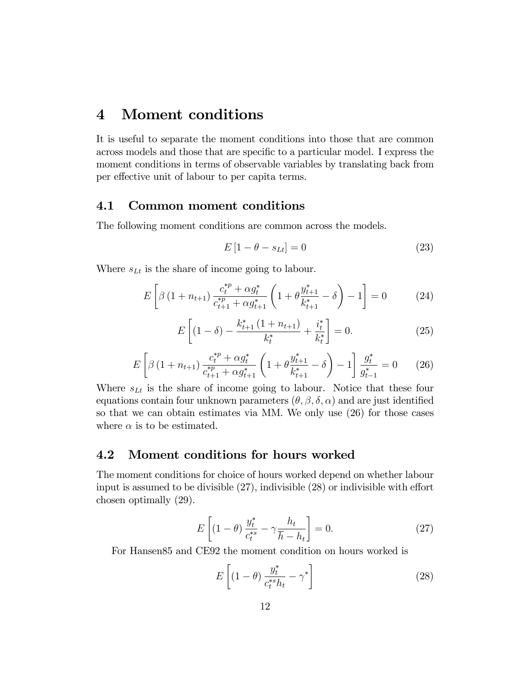## 4 Moment conditions

It is useful to separate the moment conditions into those that are common across models and those that are specific to a particular model. I express the moment conditions in terms of observable variables by translating back from per effective unit of labour to per capita terms.

### 4.1 Common moment conditions

The following moment conditions are common across the models.

$$
E\left[1 - \theta - s_{Lt}\right] = 0\tag{23}
$$

Where  $s_{Lt}$  is the share of income going to labour.

$$
E\left[\beta\left(1+n_{t+1}\right)\frac{c_t^{*p}+\alpha g_t^*}{c_{t+1}^{*p}+\alpha g_{t+1}^*}\left(1+\theta\frac{y_{t+1}^*}{k_{t+1}^*}-\delta\right)-1\right]=0\tag{24}
$$

$$
E\left[ (1 - \delta) - \frac{k_{t+1}^* (1 + n_{t+1})}{k_t^*} + \frac{i_t^*}{k_t^*} \right] = 0. \tag{25}
$$

$$
E\left[\beta\left(1+n_{t+1}\right)\frac{c_t^{*p}+\alpha g_t^*}{c_{t+1}^{*p}+\alpha g_{t+1}^*}\left(1+\theta\frac{y_{t+1}^*}{k_{t+1}^*}-\delta\right)-1\right]\frac{g_t^*}{g_{t-1}^*}=0\qquad(26)
$$

Where  $s_{Lt}$  is the share of income going to labour. Notice that these four equations contain four unknown parameters  $(\theta, \beta, \delta, \alpha)$  and are just identified so that we can obtain estimates via MM. We only use (26) for those cases where  $\alpha$  is to be estimated.

#### 4.2 Moment conditions for hours worked

The moment conditions for choice of hours worked depend on whether labour input is assumed to be divisible  $(27)$ , indivisible  $(28)$  or indivisible with effort chosen optimally (29).

$$
E\left[ (1-\theta) \frac{y_t^*}{c_t^{*s}} - \gamma \frac{h_t}{\overline{h}-h_t} \right] = 0. \tag{27}
$$

For Hansen85 and CE92 the moment condition on hours worked is

$$
E\left[ (1 - \theta) \frac{y_t^*}{c_t^{*s} h_t} - \gamma^* \right]
$$
 (28)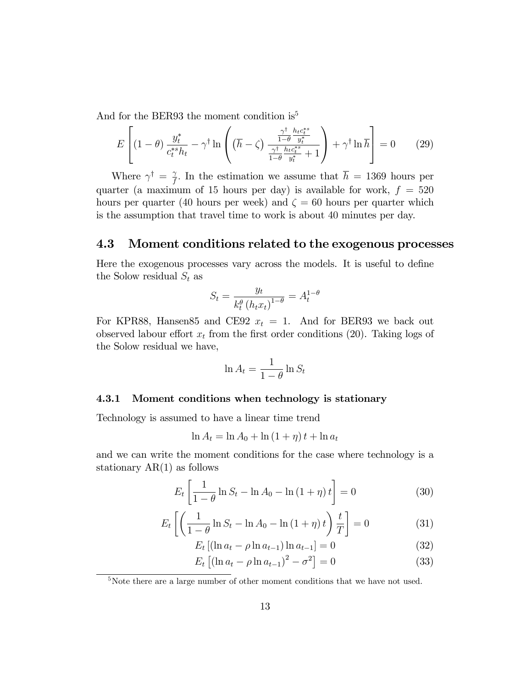And for the BER93 the moment condition is<sup>5</sup>

$$
E\left[ (1-\theta) \frac{y_t^*}{c_t^{*s} h_t} - \gamma^{\dagger} \ln \left( (\overline{h} - \zeta) \frac{\frac{\gamma^{\dagger}}{1-\theta} \frac{h_t c_t^{*s}}{y_t^*}}{\frac{\gamma^{\dagger}}{1-\theta} \frac{h_t c_t^{*s}}{y_t^*} + 1} \right) + \gamma^{\dagger} \ln \overline{h} \right] = 0 \qquad (29)
$$

Where  $\gamma^{\dagger} = \frac{\gamma}{f}$  $\frac{\gamma}{f}$ . In the estimation we assume that  $h = 1369$  hours per quarter (a maximum of 15 hours per day) is available for work,  $f = 520$ hours per quarter (40 hours per week) and  $\zeta = 60$  hours per quarter which is the assumption that travel time to work is about 40 minutes per day.

#### 4.3 Moment conditions related to the exogenous processes

Here the exogenous processes vary across the models. It is useful to define the Solow residual  $S_t$  as

$$
S_t = \frac{y_t}{k_t^{\theta} (h_t x_t)^{1-\theta}} = A_t^{1-\theta}
$$

For KPR88, Hansen 85 and CE92  $x_t = 1$ . And for BER93 we back out observed labour effort  $x_t$  from the first order conditions (20). Taking logs of the Solow residual we have,

$$
\ln A_t = \frac{1}{1-\theta} \ln S_t
$$

#### 4.3.1 Moment conditions when technology is stationary

Technology is assumed to have a linear time trend

$$
\ln A_t = \ln A_0 + \ln (1 + \eta) t + \ln a_t
$$

and we can write the moment conditions for the case where technology is a stationary  $AR(1)$  as follows

$$
E_t \left[ \frac{1}{1 - \theta} \ln S_t - \ln A_0 - \ln (1 + \eta) t \right] = 0 \tag{30}
$$

$$
E_t\left[\left(\frac{1}{1-\theta}\ln S_t - \ln A_0 - \ln\left(1+\eta\right)t\right)\frac{t}{T}\right] = 0\tag{31}
$$

$$
E_t [(ln a_t - \rho ln a_{t-1}) ln a_{t-1}] = 0
$$
\n(32)

$$
E_t \left[ (\ln a_t - \rho \ln a_{t-1})^2 - \sigma^2 \right] = 0 \tag{33}
$$

<sup>5</sup>Note there are a large number of other moment conditions that we have not used.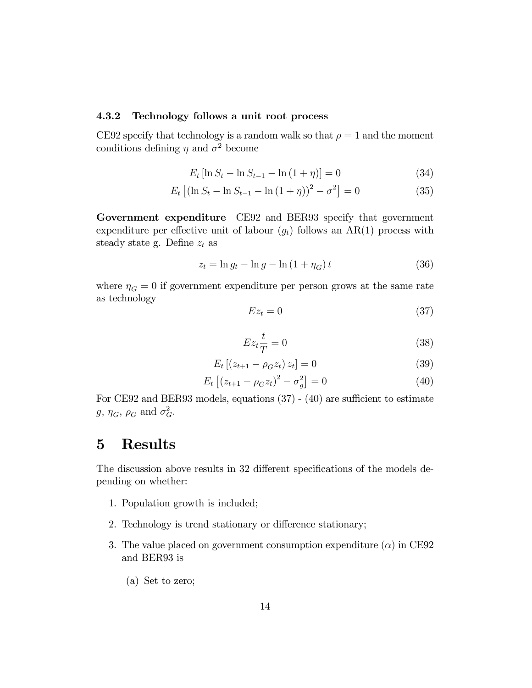#### 4.3.2 Technology follows a unit root process

CE92 specify that technology is a random walk so that  $\rho = 1$  and the moment conditions defining  $\eta$  and  $\sigma^2$  become

$$
E_t \left[ \ln S_t - \ln S_{t-1} - \ln (1 + \eta) \right] = 0 \tag{34}
$$

$$
E_t \left[ (\ln S_t - \ln S_{t-1} - \ln (1 + \eta))^2 - \sigma^2 \right] = 0 \tag{35}
$$

Government expenditure CE92 and BER93 specify that government expenditure per effective unit of labour  $(g_t)$  follows an AR(1) process with steady state g. Define  $z_t$  as

$$
z_t = \ln g_t - \ln g - \ln \left( 1 + \eta_G \right) t \tag{36}
$$

where  $\eta_G = 0$  if government expenditure per person grows at the same rate as technology

$$
Ez_t = 0 \tag{37}
$$

$$
Ez_t \frac{t}{T} = 0 \tag{38}
$$

$$
E_t [(z_{t+1} - \rho_G z_t) z_t] = 0 \tag{39}
$$

$$
E_t [(z_{t+1} - \rho_G z_t)^2 - \sigma_g^2] = 0 \tag{40}
$$

For CE92 and BER93 models, equations  $(37)$  -  $(40)$  are sufficient to estimate  $g, \eta_G, \rho_G$  and  $\sigma_G^2$ .

## 5 Results

The discussion above results in 32 different specifications of the models depending on whether:

- 1. Population growth is included;
- 2. Technology is trend stationary or difference stationary;
- 3. The value placed on government consumption expenditure  $(\alpha)$  in CE92 and BER93 is
	- (a) Set to zero;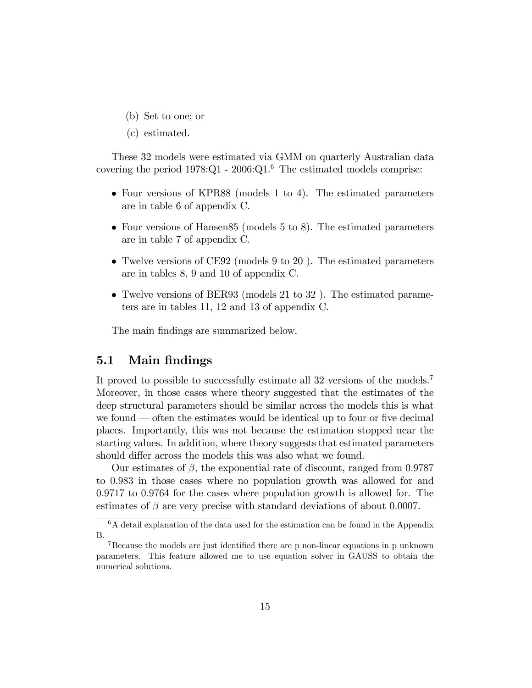- (b) Set to one; or
- (c) estimated.

These 32 models were estimated via GMM on quarterly Australian data covering the period  $1978:Q1 - 2006:Q1<sup>6</sup>$  The estimated models comprise:

- Four versions of KPR88 (models 1 to 4). The estimated parameters are in table 6 of appendix C.
- Four versions of Hansen85 (models 5 to 8). The estimated parameters are in table 7 of appendix C.
- Twelve versions of CE92 (models 9 to 20 ). The estimated parameters are in tables 8, 9 and 10 of appendix C.
- Twelve versions of BER93 (models 21 to 32 ). The estimated parameters are in tables 11, 12 and 13 of appendix C.

The main findings are summarized below.

### 5.1 Main findings

It proved to possible to successfully estimate all 32 versions of the models.<sup>7</sup> Moreover, in those cases where theory suggested that the estimates of the deep structural parameters should be similar across the models this is what we found  $\sim$  often the estimates would be identical up to four or five decimal places. Importantly, this was not because the estimation stopped near the starting values. In addition, where theory suggests that estimated parameters should differ across the models this was also what we found.

Our estimates of  $\beta$ , the exponential rate of discount, ranged from 0.9787 to 0:983 in those cases where no population growth was allowed for and 0:9717 to 0:9764 for the cases where population growth is allowed for. The estimates of  $\beta$  are very precise with standard deviations of about 0.0007.

<sup>&</sup>lt;sup>6</sup>A detail explanation of the data used for the estimation can be found in the Appendix B.

 $7Because$  the models are just identified there are p non-linear equations in p unknown parameters. This feature allowed me to use equation solver in GAUSS to obtain the numerical solutions.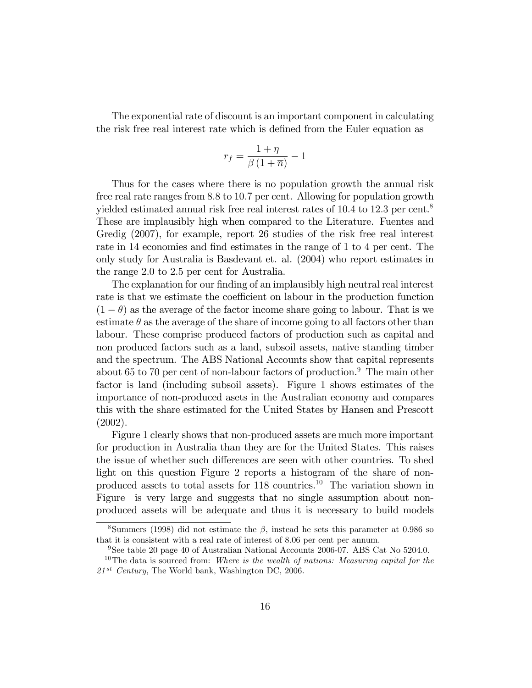The exponential rate of discount is an important component in calculating the risk free real interest rate which is defined from the Euler equation as

$$
r_f = \frac{1+\eta}{\beta(1+\overline{n})} - 1
$$

Thus for the cases where there is no population growth the annual risk free real rate ranges from 8:8 to 10:7 per cent. Allowing for population growth yielded estimated annual risk free real interest rates of 10.4 to 12.3 per cent.<sup>8</sup> These are implausibly high when compared to the Literature. Fuentes and Gredig (2007), for example, report 26 studies of the risk free real interest rate in 14 economies and find estimates in the range of 1 to 4 per cent. The only study for Australia is Basdevant et. al. (2004) who report estimates in the range 2.0 to 2.5 per cent for Australia.

The explanation for our finding of an implausibly high neutral real interest rate is that we estimate the coefficient on labour in the production function  $(1 - \theta)$  as the average of the factor income share going to labour. That is we estimate  $\theta$  as the average of the share of income going to all factors other than labour. These comprise produced factors of production such as capital and non produced factors such as a land, subsoil assets, native standing timber and the spectrum. The ABS National Accounts show that capital represents about 65 to 70 per cent of non-labour factors of production.<sup>9</sup> The main other factor is land (including subsoil assets). Figure 1 shows estimates of the importance of non-produced asets in the Australian economy and compares this with the share estimated for the United States by Hansen and Prescott (2002).

Figure 1 clearly shows that non-produced assets are much more important for production in Australia than they are for the United States. This raises the issue of whether such differences are seen with other countries. To shed light on this question Figure 2 reports a histogram of the share of nonproduced assets to total assets for 118 countries.<sup>10</sup> The variation shown in Figure is very large and suggests that no single assumption about nonproduced assets will be adequate and thus it is necessary to build models

<sup>&</sup>lt;sup>8</sup>Summers (1998) did not estimate the  $\beta$ , instead he sets this parameter at 0.986 so that it is consistent with a real rate of interest of 8.06 per cent per annum.

<sup>&</sup>lt;sup>9</sup>See table 20 page 40 of Australian National Accounts 2006-07. ABS Cat No 5204.0.

<sup>&</sup>lt;sup>10</sup>The data is sourced from: Where is the wealth of nations: Measuring capital for the  $21^{st}$  Century, The World bank, Washington DC, 2006.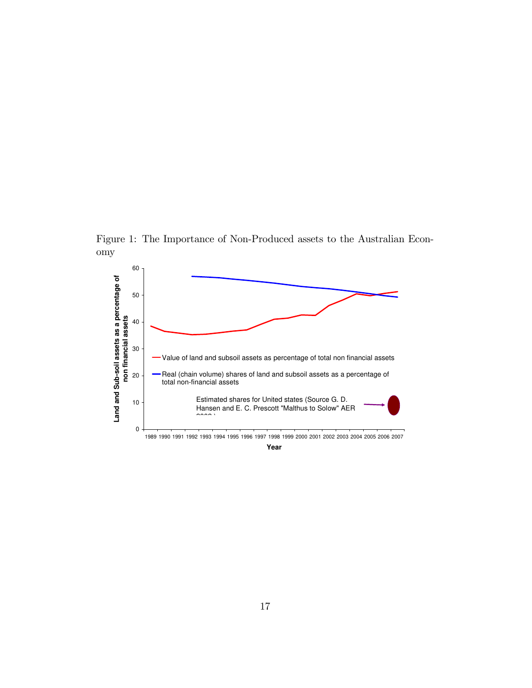Figure 1: The Importance of Non-Produced assets to the Australian Economy



**Year**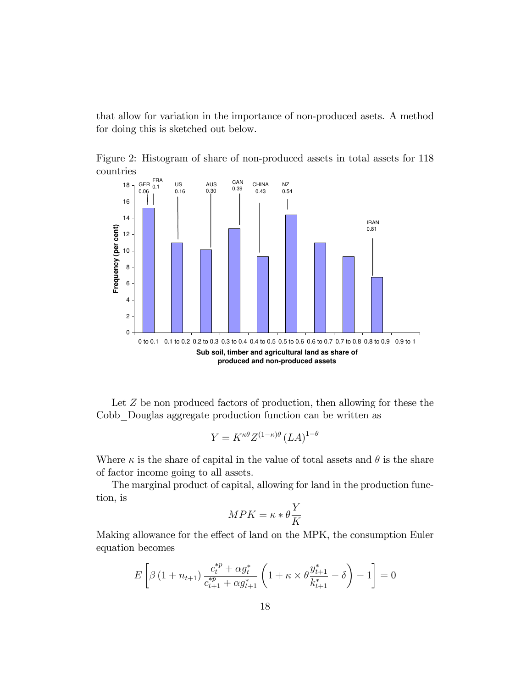that allow for variation in the importance of non-produced asets. A method for doing this is sketched out below.

Figure 2: Histogram of share of non-produced assets in total assets for 118 countries



Let Z be non produced factors of production, then allowing for these the Cobb\_Douglas aggregate production function can be written as

$$
Y = K^{\kappa \theta} Z^{(1-\kappa)\theta} (LA)^{1-\theta}
$$

Where  $\kappa$  is the share of capital in the value of total assets and  $\theta$  is the share of factor income going to all assets.

The marginal product of capital, allowing for land in the production function, is

$$
MPK = \kappa * \theta \frac{Y}{K}
$$

Making allowance for the effect of land on the MPK, the consumption Euler equation becomes

$$
E\left[\beta\left(1+n_{t+1}\right)\frac{c_t^{*p} + \alpha g_t^*}{c_{t+1}^{*p} + \alpha g_{t+1}^*}\left(1 + \kappa \times \theta \frac{g_{t+1}^*}{k_{t+1}^*} - \delta\right) - 1\right] = 0
$$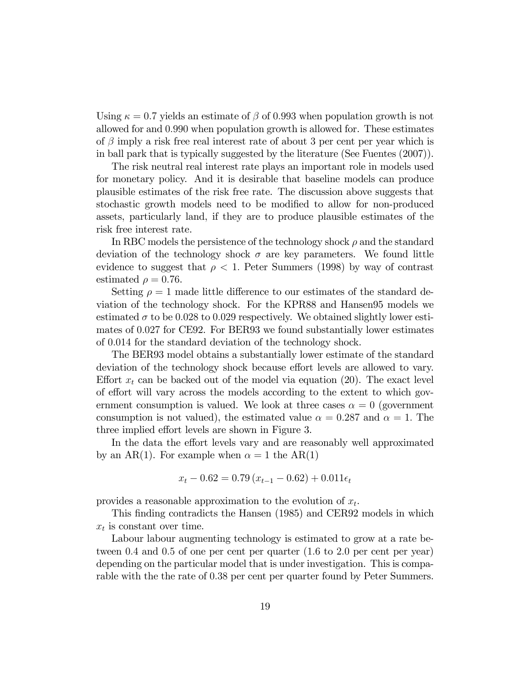Using  $\kappa = 0.7$  yields an estimate of  $\beta$  of 0.993 when population growth is not allowed for and 0:990 when population growth is allowed for. These estimates of  $\beta$  imply a risk free real interest rate of about 3 per cent per year which is in ball park that is typically suggested by the literature (See Fuentes (2007)).

The risk neutral real interest rate plays an important role in models used for monetary policy. And it is desirable that baseline models can produce plausible estimates of the risk free rate. The discussion above suggests that stochastic growth models need to be modified to allow for non-produced assets, particularly land, if they are to produce plausible estimates of the risk free interest rate.

In RBC models the persistence of the technology shock  $\rho$  and the standard deviation of the technology shock  $\sigma$  are key parameters. We found little evidence to suggest that  $\rho < 1$ . Peter Summers (1998) by way of contrast estimated  $\rho = 0.76$ .

Setting  $\rho = 1$  made little difference to our estimates of the standard deviation of the technology shock. For the KPR88 and Hansen95 models we estimated  $\sigma$  to be 0.028 to 0.029 respectively. We obtained slightly lower estimates of 0:027 for CE92. For BER93 we found substantially lower estimates of 0:014 for the standard deviation of the technology shock.

The BER93 model obtains a substantially lower estimate of the standard deviation of the technology shock because effort levels are allowed to vary. Effort  $x_t$  can be backed out of the model via equation (20). The exact level of effort will vary across the models according to the extent to which government consumption is valued. We look at three cases  $\alpha = 0$  (government consumption is not valued), the estimated value  $\alpha = 0.287$  and  $\alpha = 1$ . The three implied effort levels are shown in Figure 3.

In the data the effort levels vary and are reasonably well approximated by an AR(1). For example when  $\alpha = 1$  the AR(1)

$$
x_t - 0.62 = 0.79 \left( x_{t-1} - 0.62 \right) + 0.011 \epsilon_t
$$

provides a reasonable approximation to the evolution of  $x_t$ .

This finding contradicts the Hansen (1985) and CER92 models in which  $x_t$  is constant over time.

Labour labour augmenting technology is estimated to grow at a rate between 0.4 and 0.5 of one per cent per quarter  $(1.6 \text{ to } 2.0 \text{ per cent per year})$ depending on the particular model that is under investigation. This is comparable with the the rate of 0:38 per cent per quarter found by Peter Summers.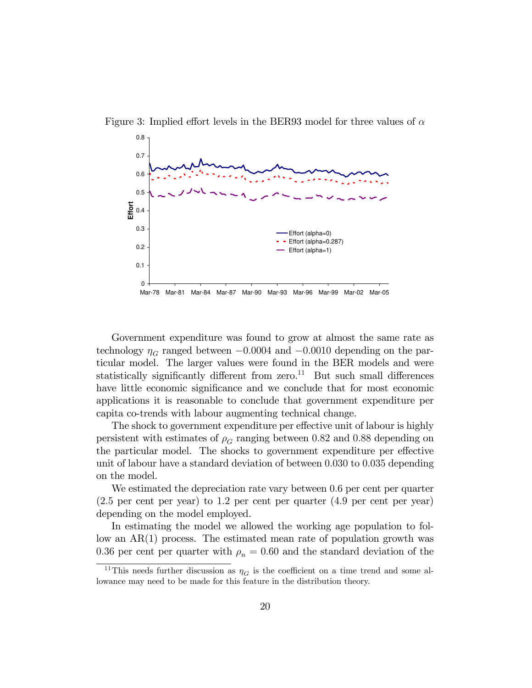

Figure 3: Implied effort levels in the BER93 model for three values of  $\alpha$ 

Government expenditure was found to grow at almost the same rate as technology  $\eta_G$  ranged between  $-0.0004$  and  $-0.0010$  depending on the particular model. The larger values were found in the BER models and were statistically significantly different from zero.<sup>11</sup> But such small differences have little economic significance and we conclude that for most economic applications it is reasonable to conclude that government expenditure per capita co-trends with labour augmenting technical change.

The shock to government expenditure per effective unit of labour is highly persistent with estimates of  $\rho_G$  ranging between 0.82 and 0.88 depending on the particular model. The shocks to government expenditure per effective unit of labour have a standard deviation of between 0:030 to 0:035 depending on the model.

We estimated the depreciation rate vary between 0:6 per cent per quarter (2:5 per cent per year) to 1:2 per cent per quarter (4:9 per cent per year) depending on the model employed.

In estimating the model we allowed the working age population to follow an AR(1) process. The estimated mean rate of population growth was 0.36 per cent per quarter with  $\rho_n = 0.60$  and the standard deviation of the

<sup>&</sup>lt;sup>11</sup>This needs further discussion as  $\eta_G$  is the coefficient on a time trend and some allowance may need to be made for this feature in the distribution theory.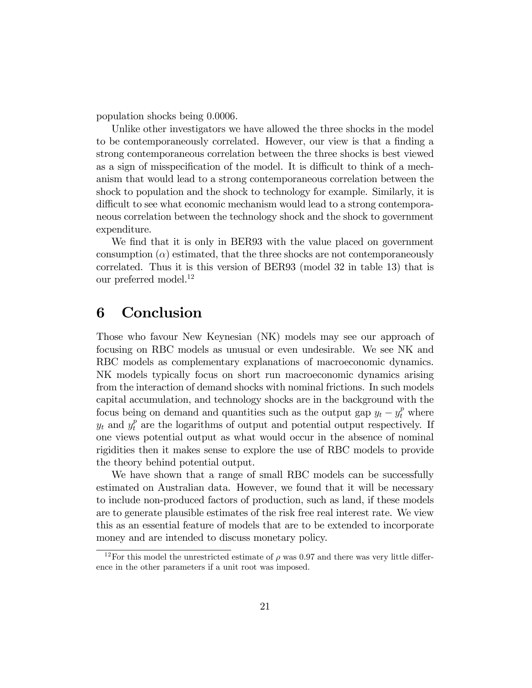population shocks being 0:0006.

Unlike other investigators we have allowed the three shocks in the model to be contemporaneously correlated. However, our view is that a finding a strong contemporaneous correlation between the three shocks is best viewed as a sign of misspecification of the model. It is difficult to think of a mechanism that would lead to a strong contemporaneous correlation between the shock to population and the shock to technology for example. Similarly, it is difficult to see what economic mechanism would lead to a strong contemporaneous correlation between the technology shock and the shock to government expenditure.

We find that it is only in BER93 with the value placed on government consumption  $(\alpha)$  estimated, that the three shocks are not contemporaneously correlated. Thus it is this version of BER93 (model 32 in table 13) that is our preferred model.<sup>12</sup>

### 6 Conclusion

Those who favour New Keynesian (NK) models may see our approach of focusing on RBC models as unusual or even undesirable. We see NK and RBC models as complementary explanations of macroeconomic dynamics. NK models typically focus on short run macroeconomic dynamics arising from the interaction of demand shocks with nominal frictions. In such models capital accumulation, and technology shocks are in the background with the focus being on demand and quantities such as the output gap  $y_t - y_t^p$  where  $y_t$  and  $y_t^p$  are the logarithms of output and potential output respectively. If one views potential output as what would occur in the absence of nominal rigidities then it makes sense to explore the use of RBC models to provide the theory behind potential output.

We have shown that a range of small RBC models can be successfully estimated on Australian data. However, we found that it will be necessary to include non-produced factors of production, such as land, if these models are to generate plausible estimates of the risk free real interest rate. We view this as an essential feature of models that are to be extended to incorporate money and are intended to discuss monetary policy.

<sup>&</sup>lt;sup>12</sup>For this model the unrestricted estimate of  $\rho$  was 0.97 and there was very little difference in the other parameters if a unit root was imposed.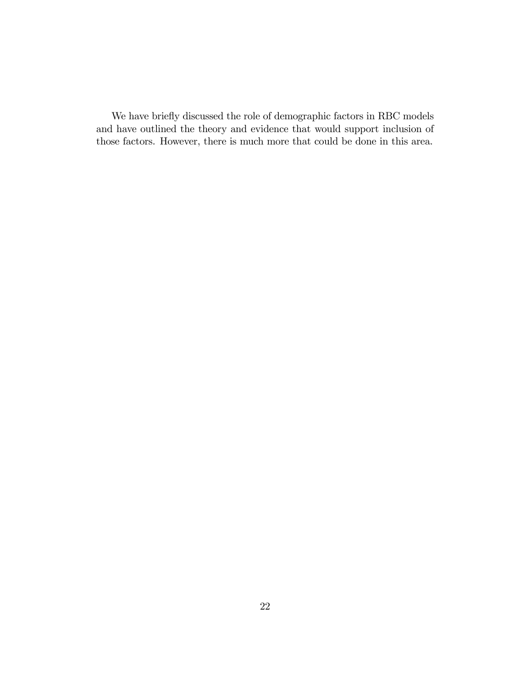We have briefly discussed the role of demographic factors in RBC models and have outlined the theory and evidence that would support inclusion of those factors. However, there is much more that could be done in this area.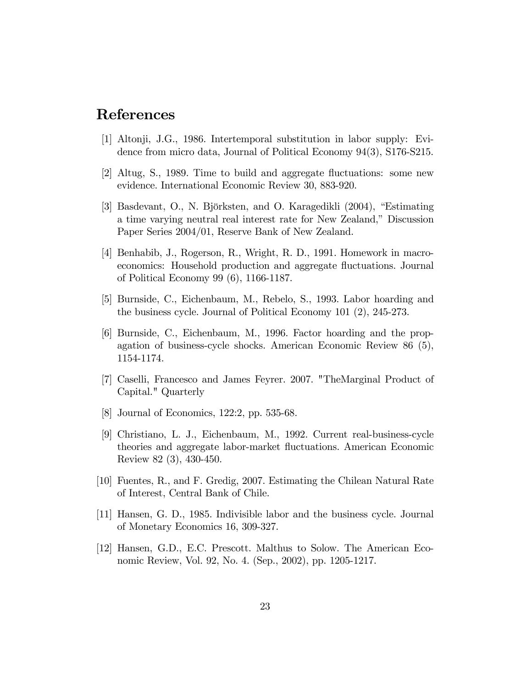### References

- [1] Altonji, J.G., 1986. Intertemporal substitution in labor supply: Evidence from micro data, Journal of Political Economy 94(3), S176-S215.
- [2] Altug, S., 1989. Time to build and aggregate fluctuations: some new evidence. International Economic Review 30, 883-920.
- [3] Basdevant, O., N. Björksten, and O. Karagedikli (2004), "Estimating a time varying neutral real interest rate for New Zealand," Discussion Paper Series 2004/01, Reserve Bank of New Zealand.
- [4] Benhabib, J., Rogerson, R., Wright, R. D., 1991. Homework in macroeconomics: Household production and aggregate fluctuations. Journal of Political Economy 99 (6), 1166-1187.
- [5] Burnside, C., Eichenbaum, M., Rebelo, S., 1993. Labor hoarding and the business cycle. Journal of Political Economy 101 (2), 245-273.
- [6] Burnside, C., Eichenbaum, M., 1996. Factor hoarding and the propagation of business-cycle shocks. American Economic Review 86 (5), 1154-1174.
- [7] Caselli, Francesco and James Feyrer. 2007. "TheMarginal Product of Capital." Quarterly
- [8] Journal of Economics, 122:2, pp. 535-68.
- [9] Christiano, L. J., Eichenbaum, M., 1992. Current real-business-cycle theories and aggregate labor-market áuctuations. American Economic Review 82 (3), 430-450.
- [10] Fuentes, R., and F. Gredig, 2007. Estimating the Chilean Natural Rate of Interest, Central Bank of Chile.
- [11] Hansen, G. D., 1985. Indivisible labor and the business cycle. Journal of Monetary Economics 16, 309-327.
- [12] Hansen, G.D., E.C. Prescott. Malthus to Solow. The American Economic Review, Vol. 92, No. 4. (Sep., 2002), pp. 1205-1217.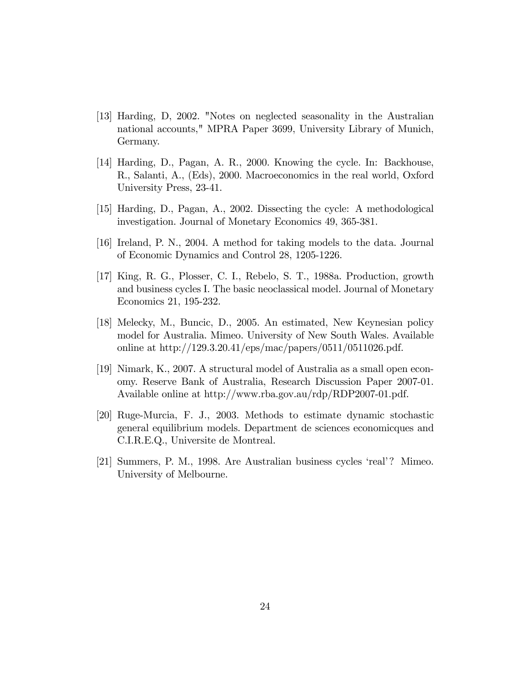- [13] Harding, D, 2002. "Notes on neglected seasonality in the Australian national accounts," MPRA Paper 3699, University Library of Munich, Germany.
- [14] Harding, D., Pagan, A. R., 2000. Knowing the cycle. In: Backhouse, R., Salanti, A., (Eds), 2000. Macroeconomics in the real world, Oxford University Press, 23-41.
- [15] Harding, D., Pagan, A., 2002. Dissecting the cycle: A methodological investigation. Journal of Monetary Economics 49, 365-381.
- [16] Ireland, P. N., 2004. A method for taking models to the data. Journal of Economic Dynamics and Control 28, 1205-1226.
- [17] King, R. G., Plosser, C. I., Rebelo, S. T., 1988a. Production, growth and business cycles I. The basic neoclassical model. Journal of Monetary Economics 21, 195-232.
- [18] Melecky, M., Buncic, D., 2005. An estimated, New Keynesian policy model for Australia. Mimeo. University of New South Wales. Available online at http://129.3.20.41/eps/mac/papers/0511/0511026.pdf.
- [19] Nimark, K., 2007. A structural model of Australia as a small open economy. Reserve Bank of Australia, Research Discussion Paper 2007-01. Available online at http://www.rba.gov.au/rdp/RDP2007-01.pdf.
- [20] Ruge-Murcia, F. J., 2003. Methods to estimate dynamic stochastic general equilibrium models. Department de sciences economicques and C.I.R.E.Q., Universite de Montreal.
- [21] Summers, P. M., 1998. Are Australian business cycles 'real'? Mimeo. University of Melbourne.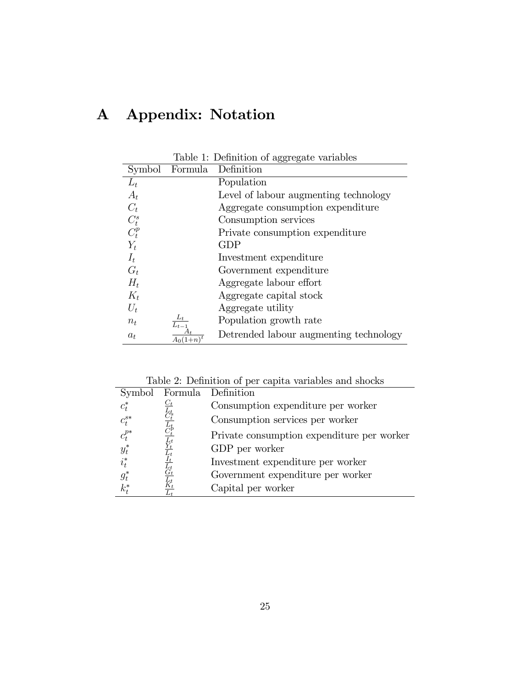# A Appendix: Notation

|         |           | Table 1: Definition of aggregate variables |
|---------|-----------|--------------------------------------------|
| Symbol  | Formula   | Definition                                 |
| $L_t$   |           | Population                                 |
| $A_t$   |           | Level of labour augmenting technology      |
| $C_t$   |           | Aggregate consumption expenditure          |
| $C_t^s$ |           | Consumption services                       |
| $C_t^p$ |           | Private consumption expenditure            |
| $Y_t$   |           | <b>GDP</b>                                 |
| $I_t$   |           | Investment expenditure                     |
| $G_t$   |           | Government expenditure                     |
| $H_t$   |           | Aggregate labour effort                    |
| $K_t$   |           | Aggregate capital stock                    |
| $U_t$   |           | Aggregate utility                          |
| $n_t$   | $L_{t-1}$ | Population growth rate                     |
| $a_t$   |           | Detrended labour augmenting technology     |

Table 2: Definition of per capita variables and shocks

|                                                 |                                                  | Symbol Formula Definition                  |
|-------------------------------------------------|--------------------------------------------------|--------------------------------------------|
|                                                 | $C_t$                                            | Consumption expenditure per worker         |
| $\begin{matrix} c_t^* \\ c_t^{s*} \end{matrix}$ | $C_t^t$                                          | Consumption services per worker            |
| $c_t^{p*}$<br>$y_t^*$                           | $\overline{\smash[t]{\mathop C_t^b}}$            | Private consumption expenditure per worker |
|                                                 | $\frac{L_t}{Y_t}$                                | GDP per worker                             |
| $i_t^*$                                         | $\overline{I_t}$<br>$\overline{\vec{L}_{t}^{t}}$ | Investment expenditure per worker          |
| $g_t^*$                                         |                                                  | Government expenditure per worker          |
| $k_t^*$                                         |                                                  | Capital per worker                         |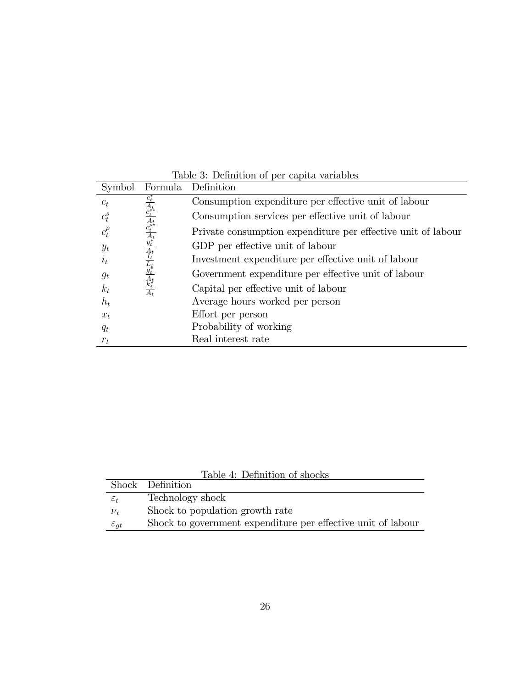| Symbol                 | Formula                                                                                                                                                                                           | Definition                                                   |
|------------------------|---------------------------------------------------------------------------------------------------------------------------------------------------------------------------------------------------|--------------------------------------------------------------|
| $c_t$                  |                                                                                                                                                                                                   | Consumption expenditure per effective unit of labour         |
| $c_{\boldsymbol{t}}^s$ |                                                                                                                                                                                                   | Consumption services per effective unit of labour            |
| $c_t^p$                | $\frac{c^*_t - A^{s*}_{t}}{A^{s*}_{t}} \frac{1}{A^{t*}_{t}} \frac{1}{A^{t*}_{t}} \frac{1}{A^{t}} \frac{1}{A^{t}} \frac{1}{A^{t}} \frac{1}{A^{t}} \frac{1}{A^{t}} \frac{1}{A^{t}} \frac{1}{A^{t}}$ | Private consumption expenditure per effective unit of labour |
| $y_t$                  |                                                                                                                                                                                                   | GDP per effective unit of labour                             |
| $i_t$                  |                                                                                                                                                                                                   | Investment expenditure per effective unit of labour          |
| $g_t$                  |                                                                                                                                                                                                   | Government expenditure per effective unit of labour          |
| $k_t$                  |                                                                                                                                                                                                   | Capital per effective unit of labour                         |
| $h_t$                  |                                                                                                                                                                                                   | Average hours worked per person                              |
| $x_t$                  |                                                                                                                                                                                                   | Effort per person                                            |
| $q_t$                  |                                                                                                                                                                                                   | Probability of working                                       |
| $r_t$                  |                                                                                                                                                                                                   | Real interest rate                                           |

Table 3: Definition of per capita variables

|                    | Table 4: Definition of shocks                                |
|--------------------|--------------------------------------------------------------|
|                    | Shock Definition                                             |
| $\varepsilon_t$    | Technology shock                                             |
| $\nu_{t}$          | Shock to population growth rate                              |
| $\varepsilon_{qt}$ | Shock to government expenditure per effective unit of labour |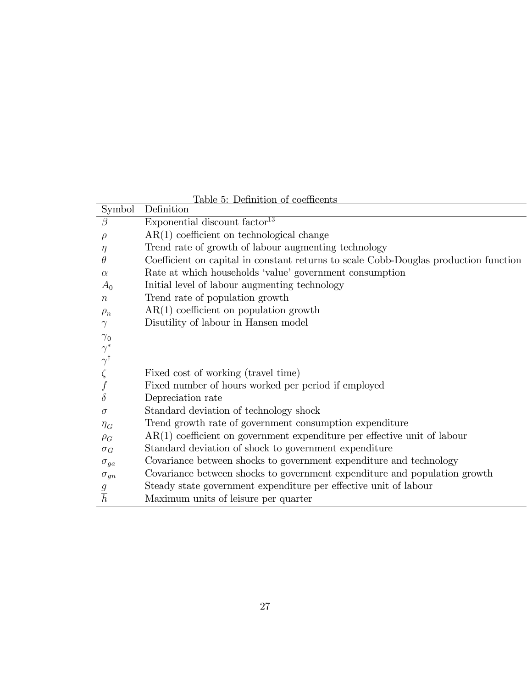| Coefficient on capital in constant returns to scale Cobb-Douglas production function |
|--------------------------------------------------------------------------------------|
|                                                                                      |
|                                                                                      |
|                                                                                      |
|                                                                                      |
|                                                                                      |
|                                                                                      |
|                                                                                      |
|                                                                                      |
|                                                                                      |
|                                                                                      |
|                                                                                      |
|                                                                                      |
|                                                                                      |
| $AR(1)$ coefficient on government expenditure per effective unit of labour           |
|                                                                                      |
|                                                                                      |
| Covariance between shocks to government expenditure and population growth            |
|                                                                                      |
|                                                                                      |
|                                                                                      |

Table 5: Definition of coefficents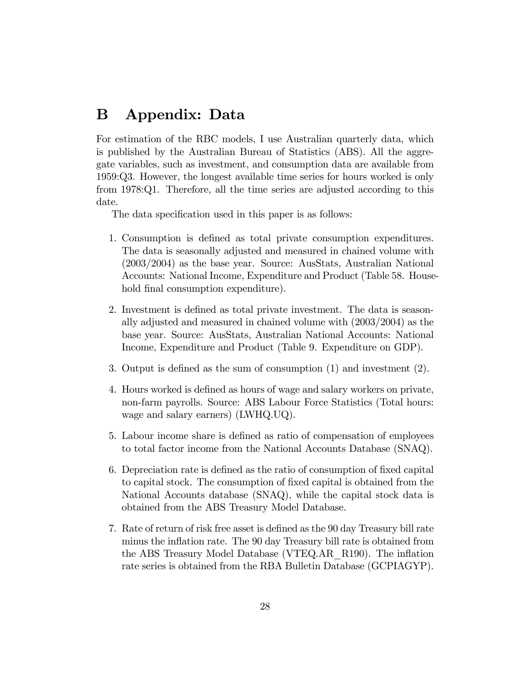## B Appendix: Data

For estimation of the RBC models, I use Australian quarterly data, which is published by the Australian Bureau of Statistics (ABS). All the aggregate variables, such as investment, and consumption data are available from 1959:Q3. However, the longest available time series for hours worked is only from 1978:Q1. Therefore, all the time series are adjusted according to this date.

The data specification used in this paper is as follows:

- 1. Consumption is defined as total private consumption expenditures. The data is seasonally adjusted and measured in chained volume with (2003/2004) as the base year. Source: AusStats, Australian National Accounts: National Income, Expenditure and Product (Table 58. Household final consumption expenditure).
- 2. Investment is defined as total private investment. The data is seasonally adjusted and measured in chained volume with (2003/2004) as the base year. Source: AusStats, Australian National Accounts: National Income, Expenditure and Product (Table 9. Expenditure on GDP).
- 3. Output is defined as the sum of consumption  $(1)$  and investment  $(2)$ .
- 4. Hours worked is defined as hours of wage and salary workers on private, non-farm payrolls. Source: ABS Labour Force Statistics (Total hours: wage and salary earners) (LWHQ.UQ).
- 5. Labour income share is defined as ratio of compensation of employees to total factor income from the National Accounts Database (SNAQ).
- 6. Depreciation rate is defined as the ratio of consumption of fixed capital to capital stock. The consumption of fixed capital is obtained from the National Accounts database (SNAQ), while the capital stock data is obtained from the ABS Treasury Model Database.
- 7. Rate of return of risk free asset is defined as the 90 day Treasury bill rate minus the inflation rate. The 90 day Treasury bill rate is obtained from the ABS Treasury Model Database (VTEQ.AR R190). The inflation rate series is obtained from the RBA Bulletin Database (GCPIAGYP).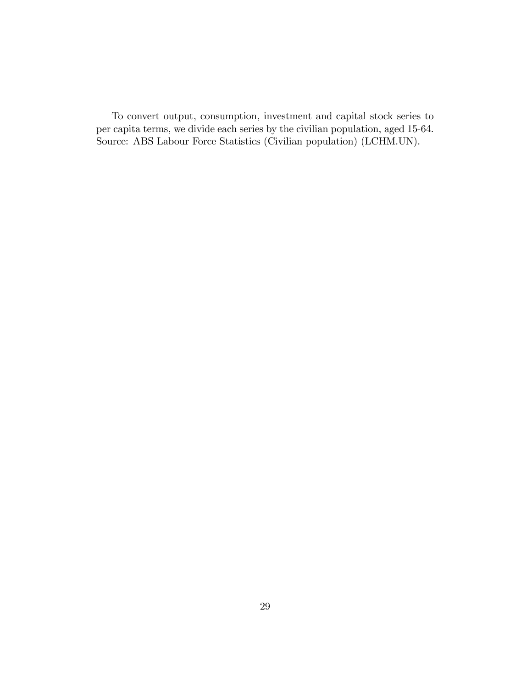To convert output, consumption, investment and capital stock series to per capita terms, we divide each series by the civilian population, aged 15-64. Source: ABS Labour Force Statistics (Civilian population) (LCHM.UN).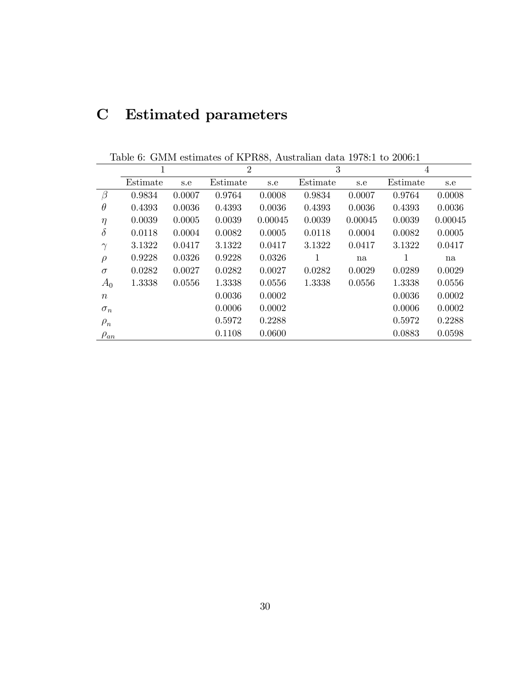# C Estimated parameters

|                  | 1        |        | $\overline{2}$ |         | 3        |         | $\overline{4}$ |         |
|------------------|----------|--------|----------------|---------|----------|---------|----------------|---------|
|                  | Estimate | s.e    | Estimate       | s.e     | Estimate | s.e     | Estimate       | s.e     |
| $\beta$          | 0.9834   | 0.0007 | 0.9764         | 0.0008  | 0.9834   | 0.0007  | 0.9764         | 0.0008  |
| $\theta$         | 0.4393   | 0.0036 | 0.4393         | 0.0036  | 0.4393   | 0.0036  | 0.4393         | 0.0036  |
| $\eta$           | 0.0039   | 0.0005 | 0.0039         | 0.00045 | 0.0039   | 0.00045 | 0.0039         | 0.00045 |
| $\delta$         | 0.0118   | 0.0004 | 0.0082         | 0.0005  | 0.0118   | 0.0004  | 0.0082         | 0.0005  |
| $\gamma$         | 3.1322   | 0.0417 | 3.1322         | 0.0417  | 3.1322   | 0.0417  | 3.1322         | 0.0417  |
| $\rho$           | 0.9228   | 0.0326 | 0.9228         | 0.0326  | 1        | na      | 1              | na      |
| $\sigma$         | 0.0282   | 0.0027 | 0.0282         | 0.0027  | 0.0282   | 0.0029  | 0.0289         | 0.0029  |
| $A_0$            | 1.3338   | 0.0556 | 1.3338         | 0.0556  | 1.3338   | 0.0556  | 1.3338         | 0.0556  |
| $\boldsymbol{n}$ |          |        | 0.0036         | 0.0002  |          |         | 0.0036         | 0.0002  |
| $\sigma_n$       |          |        | 0.0006         | 0.0002  |          |         | 0.0006         | 0.0002  |
| $\rho_n$         |          |        | 0.5972         | 0.2288  |          |         | 0.5972         | 0.2288  |
| $\rho_{an}$      |          |        | 0.1108         | 0.0600  |          |         | 0.0883         | 0.0598  |

Table 6: GMM estimates of KPR88, Australian data 1978:1 to 2006:1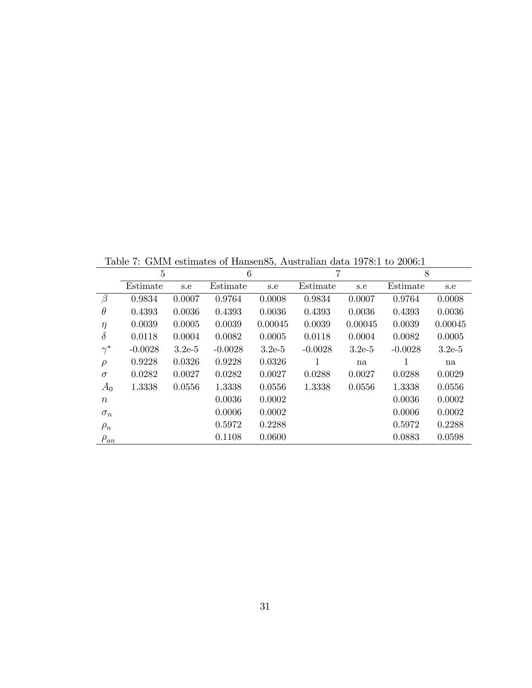Table 7: GMM estimates of Hansen85, Australian data 1978:1 to 2006:1

|                  | 5         |          | 6         |          | 7         |          | 8         |          |
|------------------|-----------|----------|-----------|----------|-----------|----------|-----------|----------|
|                  | Estimate  | s.e      | Estimate  | s.e      | Estimate  | s.e      | Estimate  | s.e      |
| $\beta$          | 0.9834    | 0.0007   | 0.9764    | 0.0008   | 0.9834    | 0.0007   | 0.9764    | 0.0008   |
| $\theta$         | 0.4393    | 0.0036   | 0.4393    | 0.0036   | 0.4393    | 0.0036   | 0.4393    | 0.0036   |
| $\eta$           | 0.0039    | 0.0005   | 0.0039    | 0.00045  | 0.0039    | 0.00045  | 0.0039    | 0.00045  |
| $\delta$         | 0.0118    | 0.0004   | 0.0082    | 0.0005   | 0.0118    | 0.0004   | 0.0082    | 0.0005   |
| $\gamma^*$       | $-0.0028$ | $3.2e-5$ | $-0.0028$ | $3.2e-5$ | $-0.0028$ | $3.2e-5$ | $-0.0028$ | $3.2e-5$ |
| $\rho$           | 0.9228    | 0.0326   | 0.9228    | 0.0326   | 1         | na       | 1         | na       |
| $\sigma$         | 0.0282    | 0.0027   | 0.0282    | 0.0027   | 0.0288    | 0.0027   | 0.0288    | 0.0029   |
| $A_0$            | 1.3338    | 0.0556   | 1.3338    | 0.0556   | 1.3338    | 0.0556   | 1.3338    | 0.0556   |
| $\boldsymbol{n}$ |           |          | 0.0036    | 0.0002   |           |          | 0.0036    | 0.0002   |
| $\sigma_n$       |           |          | 0.0006    | 0.0002   |           |          | 0.0006    | 0.0002   |
| $\rho_n$         |           |          | 0.5972    | 0.2288   |           |          | 0.5972    | 0.2288   |
| $\rho_{an}$      |           |          | 0.1108    | 0.0600   |           |          | 0.0883    | 0.0598   |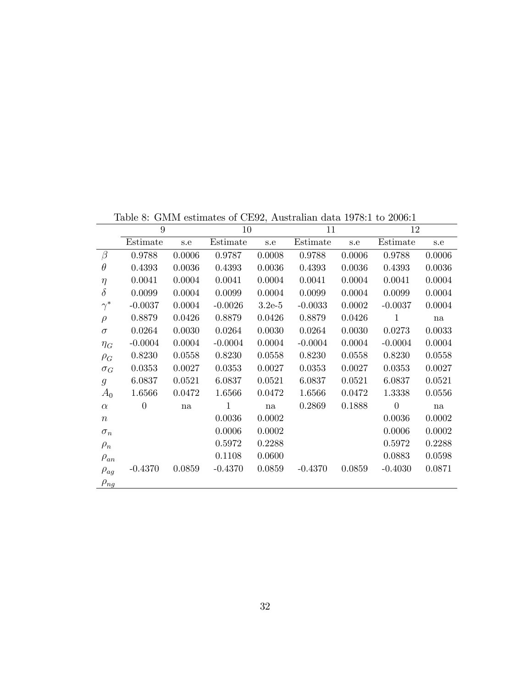|                | 9         |        | 10           |            | 11        |        | 12             |        |
|----------------|-----------|--------|--------------|------------|-----------|--------|----------------|--------|
|                | Estimate  | s.e    | Estimate     | s.e        | Estimate  | s.e    | Estimate       | s.e    |
| $\beta$        | 0.9788    | 0.0006 | 0.9787       | 0.0008     | 0.9788    | 0.0006 | 0.9788         | 0.0006 |
| $\theta$       | 0.4393    | 0.0036 | 0.4393       | 0.0036     | 0.4393    | 0.0036 | 0.4393         | 0.0036 |
| $\eta$         | 0.0041    | 0.0004 | 0.0041       | 0.0004     | 0.0041    | 0.0004 | 0.0041         | 0.0004 |
| $\delta$       | 0.0099    | 0.0004 | 0.0099       | 0.0004     | 0.0099    | 0.0004 | 0.0099         | 0.0004 |
| $\gamma^*$     | $-0.0037$ | 0.0004 | $-0.0026$    | $3.2e-5$   | $-0.0033$ | 0.0002 | $-0.0037$      | 0.0004 |
| $\rho$         | 0.8879    | 0.0426 | 0.8879       | 0.0426     | 0.8879    | 0.0426 | $\mathbf{1}$   | na     |
| $\sigma$       | 0.0264    | 0.0030 | 0.0264       | 0.0030     | 0.0264    | 0.0030 | 0.0273         | 0.0033 |
| $\eta_G$       | $-0.0004$ | 0.0004 | $-0.0004$    | $0.0004\,$ | $-0.0004$ | 0.0004 | $-0.0004$      | 0.0004 |
| $\rho_G$       | 0.8230    | 0.0558 | 0.8230       | 0.0558     | 0.8230    | 0.0558 | 0.8230         | 0.0558 |
| $\sigma_G$     | 0.0353    | 0.0027 | 0.0353       | 0.0027     | 0.0353    | 0.0027 | 0.0353         | 0.0027 |
| $\mathfrak{g}$ | 6.0837    | 0.0521 | 6.0837       | 0.0521     | 6.0837    | 0.0521 | 6.0837         | 0.0521 |
| $A_0$          | 1.6566    | 0.0472 | 1.6566       | 0.0472     | 1.6566    | 0.0472 | 1.3338         | 0.0556 |
| $\alpha$       | $\theta$  | na     | $\mathbf{1}$ | na         | 0.2869    | 0.1888 | $\overline{0}$ | na     |
| $\, n$         |           |        | 0.0036       | 0.0002     |           |        | 0.0036         | 0.0002 |
| $\sigma_n$     |           |        | 0.0006       | 0.0002     |           |        | 0.0006         | 0.0002 |
| $\rho_n$       |           |        | 0.5972       | 0.2288     |           |        | 0.5972         | 0.2288 |
| $\rho_{an}$    |           |        | 0.1108       | 0.0600     |           |        | 0.0883         | 0.0598 |
| $\rho_{ag}$    | $-0.4370$ | 0.0859 | $-0.4370$    | 0.0859     | $-0.4370$ | 0.0859 | $-0.4030$      | 0.0871 |
| $\rho_{ng}$    |           |        |              |            |           |        |                |        |

Table 8: GMM estimates of CE92, Australian data 1978:1 to 2006:1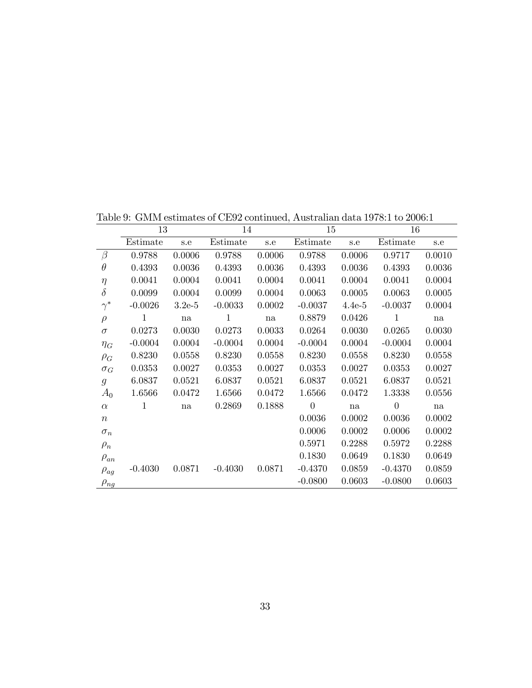|                  | 13        |          | 14           |        | 15             |          | 16             |        |
|------------------|-----------|----------|--------------|--------|----------------|----------|----------------|--------|
|                  | Estimate  | s.e      | Estimate     | s.e    | Estimate       | s.e      | Estimate       | s.e    |
| $\beta$          | 0.9788    | 0.0006   | 0.9788       | 0.0006 | 0.9788         | 0.0006   | 0.9717         | 0.0010 |
| $\theta$         | 0.4393    | 0.0036   | 0.4393       | 0.0036 | 0.4393         | 0.0036   | 0.4393         | 0.0036 |
| $\eta$           | 0.0041    | 0.0004   | 0.0041       | 0.0004 | 0.0041         | 0.0004   | 0.0041         | 0.0004 |
| $\delta$         | 0.0099    | 0.0004   | 0.0099       | 0.0004 | 0.0063         | 0.0005   | 0.0063         | 0.0005 |
| $\gamma^*$       | $-0.0026$ | $3.2e-5$ | $-0.0033$    | 0.0002 | $-0.0037$      | $4.4e-5$ | $-0.0037$      | 0.0004 |
| $\rho$           | 1         | na       | $\mathbf{1}$ | na     | 0.8879         | 0.0426   | $\mathbf 1$    | na     |
| $\sigma$         | 0.0273    | 0.0030   | 0.0273       | 0.0033 | 0.0264         | 0.0030   | 0.0265         | 0.0030 |
| $\eta_G$         | $-0.0004$ | 0.0004   | $-0.0004$    | 0.0004 | $-0.0004$      | 0.0004   | $-0.0004$      | 0.0004 |
| $\rho_G$         | 0.8230    | 0.0558   | 0.8230       | 0.0558 | 0.8230         | 0.0558   | 0.8230         | 0.0558 |
| $\sigma_G$       | 0.0353    | 0.0027   | 0.0353       | 0.0027 | 0.0353         | 0.0027   | 0.0353         | 0.0027 |
| $\mathfrak{g}$   | 6.0837    | 0.0521   | 6.0837       | 0.0521 | 6.0837         | 0.0521   | 6.0837         | 0.0521 |
| $A_0$            | 1.6566    | 0.0472   | 1.6566       | 0.0472 | 1.6566         | 0.0472   | 1.3338         | 0.0556 |
| $\alpha$         | 1         | na       | 0.2869       | 0.1888 | $\overline{0}$ | na       | $\overline{0}$ | na     |
| $\boldsymbol{n}$ |           |          |              |        | 0.0036         | 0.0002   | 0.0036         | 0.0002 |
| $\sigma_n$       |           |          |              |        | 0.0006         | 0.0002   | 0.0006         | 0.0002 |
| $\rho_n$         |           |          |              |        | 0.5971         | 0.2288   | 0.5972         | 0.2288 |
| $\rho_{an}$      |           |          |              |        | 0.1830         | 0.0649   | 0.1830         | 0.0649 |
| $\rho_{ag}$      | $-0.4030$ | 0.0871   | $-0.4030$    | 0.0871 | $-0.4370$      | 0.0859   | $-0.4370$      | 0.0859 |
| $\rho_{ng}$      |           |          |              |        | $-0.0800$      | 0.0603   | $-0.0800$      | 0.0603 |

Table 9: GMM estimates of CE92 continued, Australian data 1978:1 to 2006:1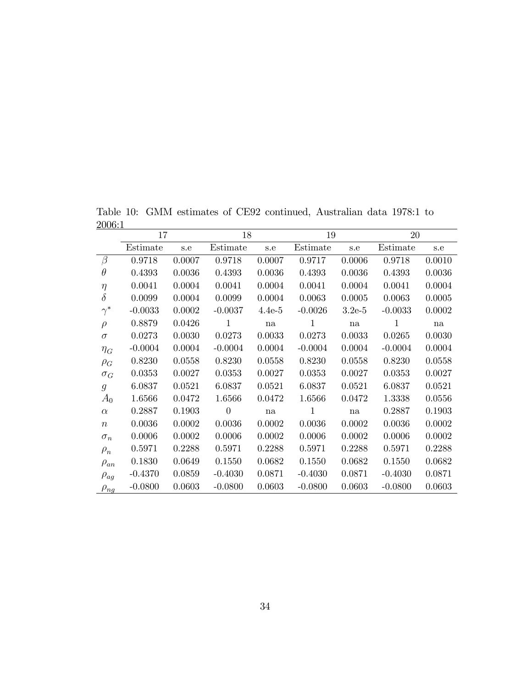Table 10: GMM estimates of CE92 continued, Australian data 1978:1 to 2006:1

|                  | 17        |        | 18             |          | 19           |          | $20\,$    |        |
|------------------|-----------|--------|----------------|----------|--------------|----------|-----------|--------|
|                  | Estimate  | s.e    | Estimate       | s.e      | Estimate     | s.e      | Estimate  | s.e    |
| $\beta$          | 0.9718    | 0.0007 | 0.9718         | 0.0007   | 0.9717       | 0.0006   | 0.9718    | 0.0010 |
| $\theta$         | 0.4393    | 0.0036 | 0.4393         | 0.0036   | 0.4393       | 0.0036   | 0.4393    | 0.0036 |
| $\eta$           | 0.0041    | 0.0004 | 0.0041         | 0.0004   | 0.0041       | 0.0004   | 0.0041    | 0.0004 |
| $\delta$         | 0.0099    | 0.0004 | 0.0099         | 0.0004   | 0.0063       | 0.0005   | 0.0063    | 0.0005 |
| $\gamma^*$       | $-0.0033$ | 0.0002 | $-0.0037$      | $4.4e-5$ | $-0.0026$    | $3.2e-5$ | $-0.0033$ | 0.0002 |
| $\rho$           | 0.8879    | 0.0426 | $\mathbf{1}$   | na       | $\mathbf{1}$ | na       | 1         | na     |
| $\sigma$         | 0.0273    | 0.0030 | 0.0273         | 0.0033   | 0.0273       | 0.0033   | 0.0265    | 0.0030 |
| $\eta_G$         | $-0.0004$ | 0.0004 | $-0.0004$      | 0.0004   | $-0.0004$    | 0.0004   | $-0.0004$ | 0.0004 |
| $\rho_G$         | 0.8230    | 0.0558 | 0.8230         | 0.0558   | 0.8230       | 0.0558   | 0.8230    | 0.0558 |
| $\sigma_G$       | 0.0353    | 0.0027 | 0.0353         | 0.0027   | 0.0353       | 0.0027   | 0.0353    | 0.0027 |
| $\mathfrak{g}$   | 6.0837    | 0.0521 | 6.0837         | 0.0521   | 6.0837       | 0.0521   | 6.0837    | 0.0521 |
| $A_0$            | 1.6566    | 0.0472 | 1.6566         | 0.0472   | 1.6566       | 0.0472   | 1.3338    | 0.0556 |
| $\alpha$         | 0.2887    | 0.1903 | $\overline{0}$ | na       | $\mathbf{1}$ | na       | 0.2887    | 0.1903 |
| $\boldsymbol{n}$ | 0.0036    | 0.0002 | 0.0036         | 0.0002   | 0.0036       | 0.0002   | 0.0036    | 0.0002 |
| $\sigma_n$       | 0.0006    | 0.0002 | 0.0006         | 0.0002   | 0.0006       | 0.0002   | 0.0006    | 0.0002 |
| $\rho_n$         | 0.5971    | 0.2288 | 0.5971         | 0.2288   | 0.5971       | 0.2288   | 0.5971    | 0.2288 |
| $\rho_{an}$      | 0.1830    | 0.0649 | 0.1550         | 0.0682   | 0.1550       | 0.0682   | 0.1550    | 0.0682 |
| $\rho_{ag}$      | $-0.4370$ | 0.0859 | $-0.4030$      | 0.0871   | $-0.4030$    | 0.0871   | $-0.4030$ | 0.0871 |
| $\rho_{ng}$      | $-0.0800$ | 0.0603 | $-0.0800$      | 0.0603   | $-0.0800$    | 0.0603   | $-0.0800$ | 0.0603 |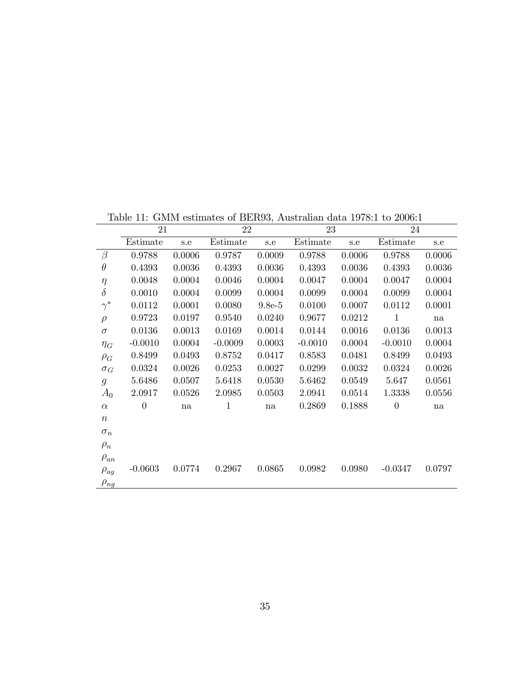|                  | 21             |        | 22        |          | 23        |        | 24             |        |
|------------------|----------------|--------|-----------|----------|-----------|--------|----------------|--------|
|                  | Estimate       | s.e    | Estimate  | s.e      | Estimate  | s.e    | Estimate       | s.e    |
| $\beta$          | 0.9788         | 0.0006 | 0.9787    | 0.0009   | 0.9788    | 0.0006 | 0.9788         | 0.0006 |
| $\theta$         | 0.4393         | 0.0036 | 0.4393    | 0.0036   | 0.4393    | 0.0036 | 0.4393         | 0.0036 |
| $\eta$           | 0.0048         | 0.0004 | 0.0046    | 0.0004   | 0.0047    | 0.0004 | 0.0047         | 0.0004 |
| $\delta$         | 0.0010         | 0.0004 | 0.0099    | 0.0004   | 0.0099    | 0.0004 | 0.0099         | 0.0004 |
| $\gamma^*$       | 0.0112         | 0.0001 | 0.0080    | $9.8e-5$ | 0.0100    | 0.0007 | 0.0112         | 0.0001 |
| $\rho$           | 0.9723         | 0.0197 | 0.9540    | 0.0240   | 0.9677    | 0.0212 | $\mathbf{1}$   | na     |
| $\sigma$         | 0.0136         | 0.0013 | 0.0169    | 0.0014   | 0.0144    | 0.0016 | 0.0136         | 0.0013 |
| $\eta_G$         | $-0.0010$      | 0.0004 | $-0.0009$ | 0.0003   | $-0.0010$ | 0.0004 | $-0.0010$      | 0.0004 |
| $\rho_G$         | 0.8499         | 0.0493 | 0.8752    | 0.0417   | 0.8583    | 0.0481 | 0.8499         | 0.0493 |
| $\sigma_G$       | 0.0324         | 0.0026 | 0.0253    | 0.0027   | 0.0299    | 0.0032 | 0.0324         | 0.0026 |
| $\mathfrak{g}$   | 5.6486         | 0.0507 | 5.6418    | 0.0530   | 5.6462    | 0.0549 | 5.647          | 0.0561 |
| $A_0$            | 2.0917         | 0.0526 | 2.0985    | 0.0503   | 2.0941    | 0.0514 | 1.3338         | 0.0556 |
| $\alpha$         | $\overline{0}$ | na     | 1         | na       | 0.2869    | 0.1888 | $\overline{0}$ | na     |
| $\boldsymbol{n}$ |                |        |           |          |           |        |                |        |
| $\sigma_n$       |                |        |           |          |           |        |                |        |
| $\rho_n$         |                |        |           |          |           |        |                |        |
| $\rho_{an}$      |                |        |           |          |           |        |                |        |
| $\rho_{ag}$      | $-0.0603$      | 0.0774 | 0.2967    | 0.0865   | 0.0982    | 0.0980 | $-0.0347$      | 0.0797 |
| $\rho_{ng}$      |                |        |           |          |           |        |                |        |

Table 11: GMM estimates of BER93, Australian data 1978:1 to 2006:1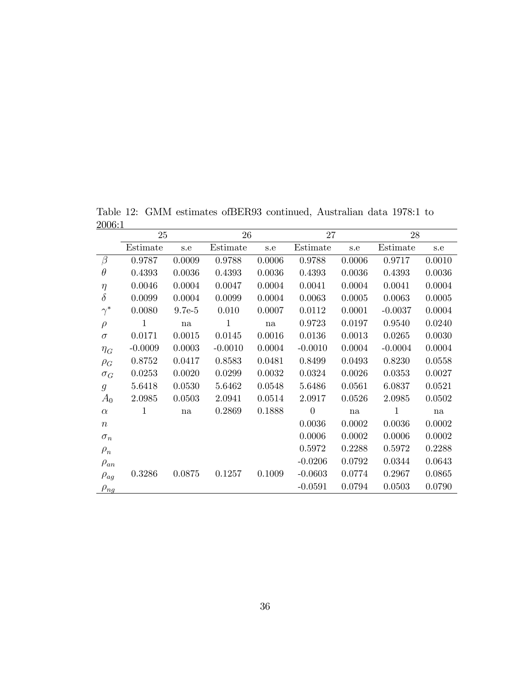25 26 27 28 Estimate s.e Estimate s.e Estimate s.e Estimate s.e  $\beta$  0.9787 0.0009 0.9788 0.0006 0.9788 0.0006 0.9717 0.0010  $\theta$  0.4393 0.0036 0.4393 0.0036 0.4393 0.0036 0.4393 0.0036  $\eta$  0.0046 0.0004 0.0047 0.0004 0.0041 0.0004 0.0041 0.0004  $\delta$  0.0099 0.0004 0.0099 0.0004 0.0063 0.0005 0.0063 0.0005  $\gamma^*$ 0.0080 9.7e-5 0.010 0.0007 0.0112 0.0001 -0.0037 0.0004  $\rho$  1 na 1 na 0.9723 0.0197 0.9540 0.0240  $\sigma$  0.0171 0.0015 0.0145 0.0016 0.0136 0.0013 0.0265 0.0030  $\eta_G$  -0.0009 0.0003 -0.0010 0.0004 -0.0010 0.0004 -0.0004 0.0004  $\rho_G$  0.8752 0.0417 0.8583 0.0481 0.8499 0.0493 0.8230 0.0558  $\sigma_G$  0.0253 0.0020 0.0299 0.0032 0.0324 0.0026 0.0353 0.0027  $g$  5.6418 0.0530 5.6462 0.0548 5.6486 0.0561 6.0837 0.0521  $A_0$  2.0985 0.0503 2.0941 0.0514 2.0917 0.0526 2.0985 0.0502  $\alpha$  1 na 0.2869 0.1888 0 na 1 na  $n$  0.0036 0.0002 0.0036 0.0002  $\sigma_n$  0.0006 0.0006 0.0002 0.0006 0.0002  $\rho_n$  $0.5972 \qquad 0.2288 \qquad 0.5972 \qquad 0.2288$  $\rho_{an}$  -0.0206 0.0792 0.0344 0.0643  $\rho_{ag}$  0.3286 0.0875 0.1257 0.1009 -0.0603 0.0774 0.2967 0.0865  $\rho_{ng}$  -0.0591 0.0794 0.0503 0.0790

Table 12: GMM estimates ofBER93 continued, Australian data 1978:1 to 2006:1